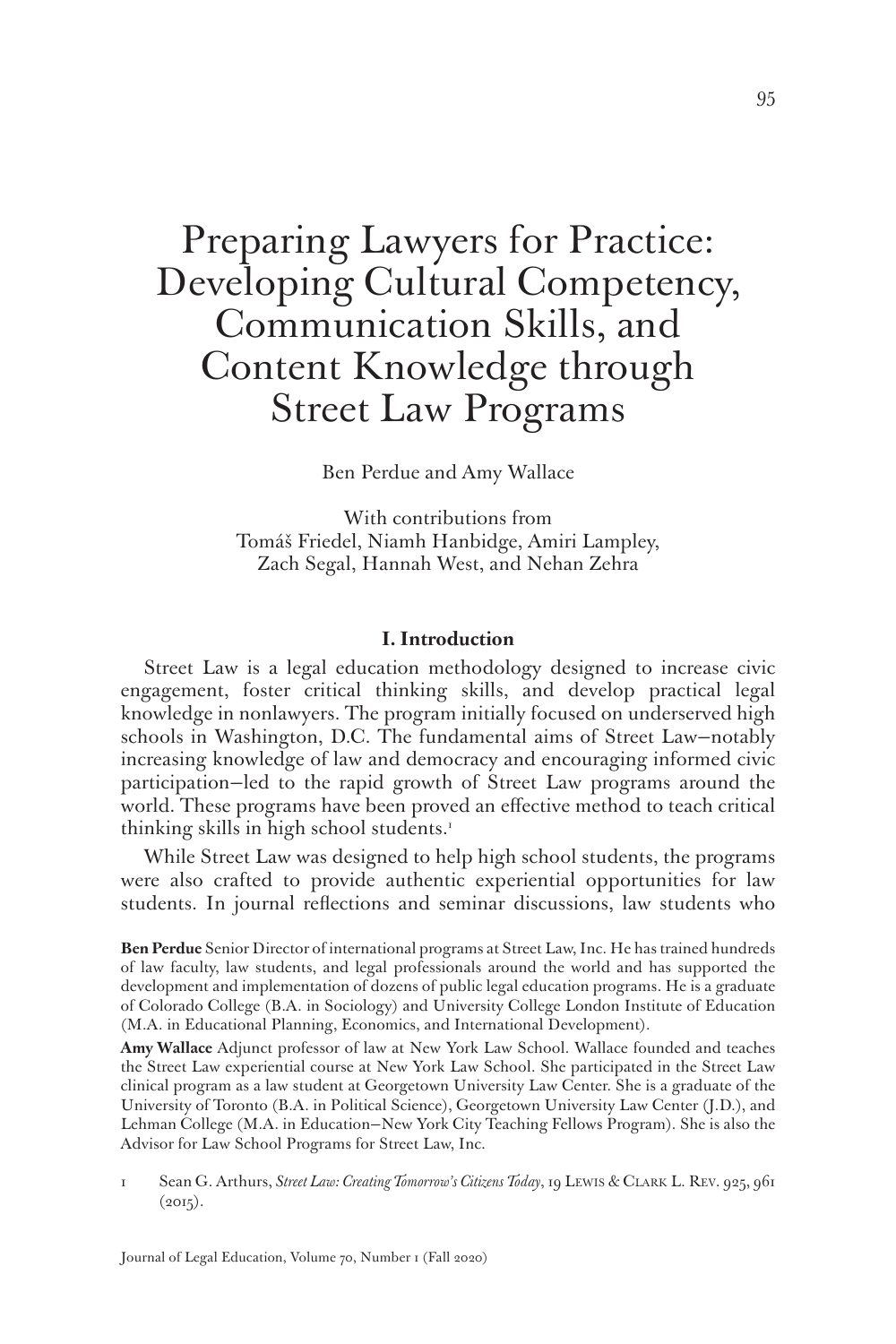# Preparing Lawyers for Practice: Developing Cultural Competency, Communication Skills, and Content Knowledge through Street Law Programs

Ben Perdue and Amy Wallace

With contributions from Tomáš Friedel, Niamh Hanbidge, Amiri Lampley, Zach Segal, Hannah West, and Nehan Zehra

#### **I. Introduction**

Street Law is a legal education methodology designed to increase civic engagement, foster critical thinking skills, and develop practical legal knowledge in nonlawyers. The program initially focused on underserved high schools in Washington, D.C. The fundamental aims of Street Law—notably increasing knowledge of law and democracy and encouraging informed civic participation—led to the rapid growth of Street Law programs around the world. These programs have been proved an effective method to teach critical thinking skills in high school students.<sup>1</sup>

While Street Law was designed to help high school students, the programs were also crafted to provide authentic experiential opportunities for law students. In journal reflections and seminar discussions, law students who

**Ben Perdue** Senior Director of international programs at Street Law, Inc. He has trained hundreds of law faculty, law students, and legal professionals around the world and has supported the development and implementation of dozens of public legal education programs. He is a graduate of Colorado College (B.A. in Sociology) and University College London Institute of Education (M.A. in Educational Planning, Economics, and International Development).

**Amy Wallace** Adjunct professor of law at New York Law School. Wallace founded and teaches the Street Law experiential course at New York Law School. She participated in the Street Law clinical program as a law student at Georgetown University Law Center. She is a graduate of the University of Toronto (B.A. in Political Science), Georgetown University Law Center (J.D.), and Lehman College (M.A. in Education—New York City Teaching Fellows Program). She is also the Advisor for Law School Programs for Street Law, Inc.

1 Sean G. Arthurs, *Street Law: Creating Tomorrow's Citizens Today*, 19 Lewis & Clark L. Rev. 925, 961  $(2015).$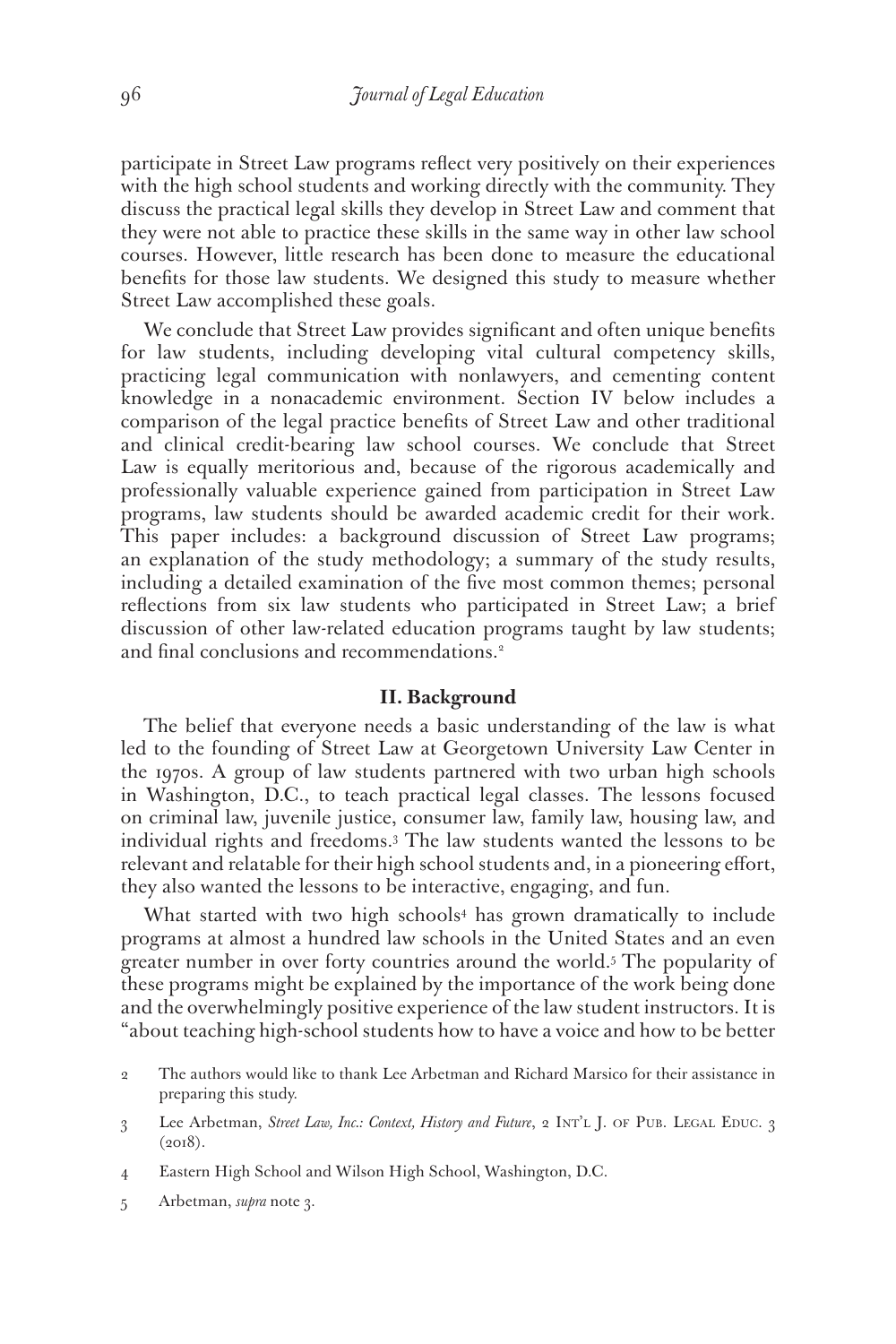participate in Street Law programs reflect very positively on their experiences with the high school students and working directly with the community. They discuss the practical legal skills they develop in Street Law and comment that they were not able to practice these skills in the same way in other law school courses. However, little research has been done to measure the educational benefits for those law students. We designed this study to measure whether Street Law accomplished these goals.

We conclude that Street Law provides significant and often unique benefits for law students, including developing vital cultural competency skills, practicing legal communication with nonlawyers, and cementing content knowledge in a nonacademic environment. Section IV below includes a comparison of the legal practice benefits of Street Law and other traditional and clinical credit-bearing law school courses. We conclude that Street Law is equally meritorious and, because of the rigorous academically and professionally valuable experience gained from participation in Street Law programs, law students should be awarded academic credit for their work. This paper includes: a background discussion of Street Law programs; an explanation of the study methodology; a summary of the study results, including a detailed examination of the five most common themes; personal reflections from six law students who participated in Street Law; a brief discussion of other law-related education programs taught by law students; and final conclusions and recommendations.<sup>2</sup>

#### **II. Background**

The belief that everyone needs a basic understanding of the law is what led to the founding of Street Law at Georgetown University Law Center in the 1970s. A group of law students partnered with two urban high schools in Washington, D.C., to teach practical legal classes. The lessons focused on criminal law, juvenile justice, consumer law, family law, housing law, and individual rights and freedoms.3 The law students wanted the lessons to be relevant and relatable for their high school students and, in a pioneering effort, they also wanted the lessons to be interactive, engaging, and fun.

What started with two high schools4 has grown dramatically to include programs at almost a hundred law schools in the United States and an even greater number in over forty countries around the world.5 The popularity of these programs might be explained by the importance of the work being done and the overwhelmingly positive experience of the law student instructors. It is "about teaching high-school students how to have a voice and how to be better

- 4 Eastern High School and Wilson High School, Washington, D.C.
- 5 Arbetman, *supra* note 3.

<sup>2</sup> The authors would like to thank Lee Arbetman and Richard Marsico for their assistance in preparing this study.

<sup>3</sup> Lee Arbetman, Street Law, Inc.: Context, History and Future, 2 INT'L J. OF PUB. LEGAL EDUC. 3  $(2018).$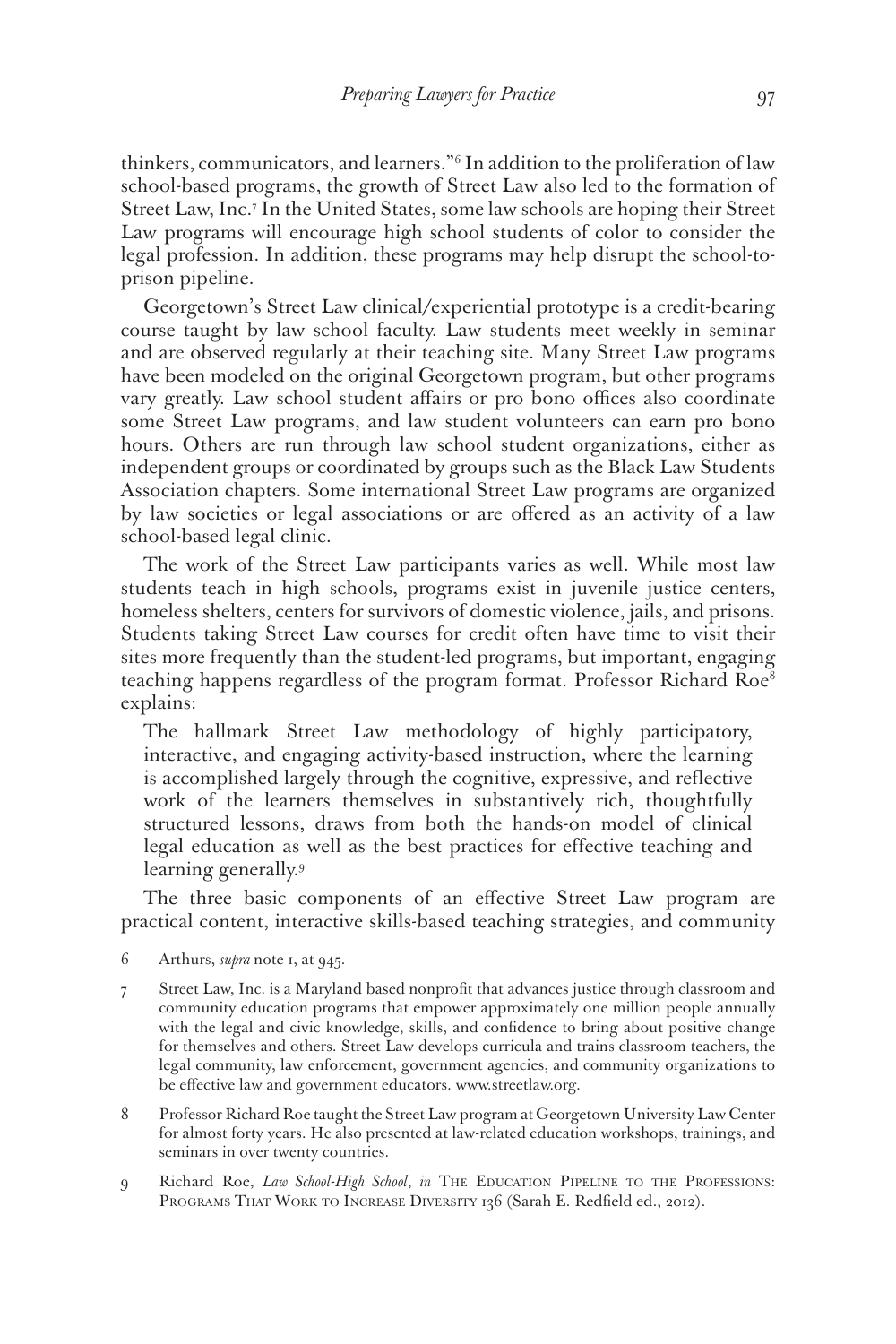thinkers, communicators, and learners."6 In addition to the proliferation of law school-based programs, the growth of Street Law also led to the formation of Street Law, Inc.7 In the United States, some law schools are hoping their Street Law programs will encourage high school students of color to consider the legal profession. In addition, these programs may help disrupt the school-toprison pipeline.

Georgetown's Street Law clinical/experiential prototype is a credit-bearing course taught by law school faculty. Law students meet weekly in seminar and are observed regularly at their teaching site. Many Street Law programs have been modeled on the original Georgetown program, but other programs vary greatly. Law school student affairs or pro bono offices also coordinate some Street Law programs, and law student volunteers can earn pro bono hours. Others are run through law school student organizations, either as independent groups or coordinated by groups such as the Black Law Students Association chapters. Some international Street Law programs are organized by law societies or legal associations or are offered as an activity of a law school-based legal clinic.

The work of the Street Law participants varies as well. While most law students teach in high schools, programs exist in juvenile justice centers, homeless shelters, centers for survivors of domestic violence, jails, and prisons. Students taking Street Law courses for credit often have time to visit their sites more frequently than the student-led programs, but important, engaging teaching happens regardless of the program format. Professor Richard Roe<sup>8</sup> explains:

The hallmark Street Law methodology of highly participatory, interactive, and engaging activity-based instruction, where the learning is accomplished largely through the cognitive, expressive, and reflective work of the learners themselves in substantively rich, thoughtfully structured lessons, draws from both the hands-on model of clinical legal education as well as the best practices for effective teaching and learning generally.9

The three basic components of an effective Street Law program are practical content, interactive skills-based teaching strategies, and community

- 6 Arthurs, *supra* note 1, at 945.
- 7 Street Law, Inc. is a Maryland based nonprofit that advances justice through classroom and community education programs that empower approximately one million people annually with the legal and civic knowledge, skills, and confidence to bring about positive change for themselves and others. Street Law develops curricula and trains classroom teachers, the legal community, law enforcement, government agencies, and community organizations to be effective law and government educators. www.streetlaw.org.
- 8 Professor Richard Roe taught the Street Law program at Georgetown University Law Center for almost forty years. He also presented at law-related education workshops, trainings, and seminars in over twenty countries.
- 9 Richard Roe, *Law School-High School*, *in* The Education Pipeline to the Professions: PROGRAMS THAT WORK TO INCREASE DIVERSITY 136 (Sarah E. Redfield ed., 2012).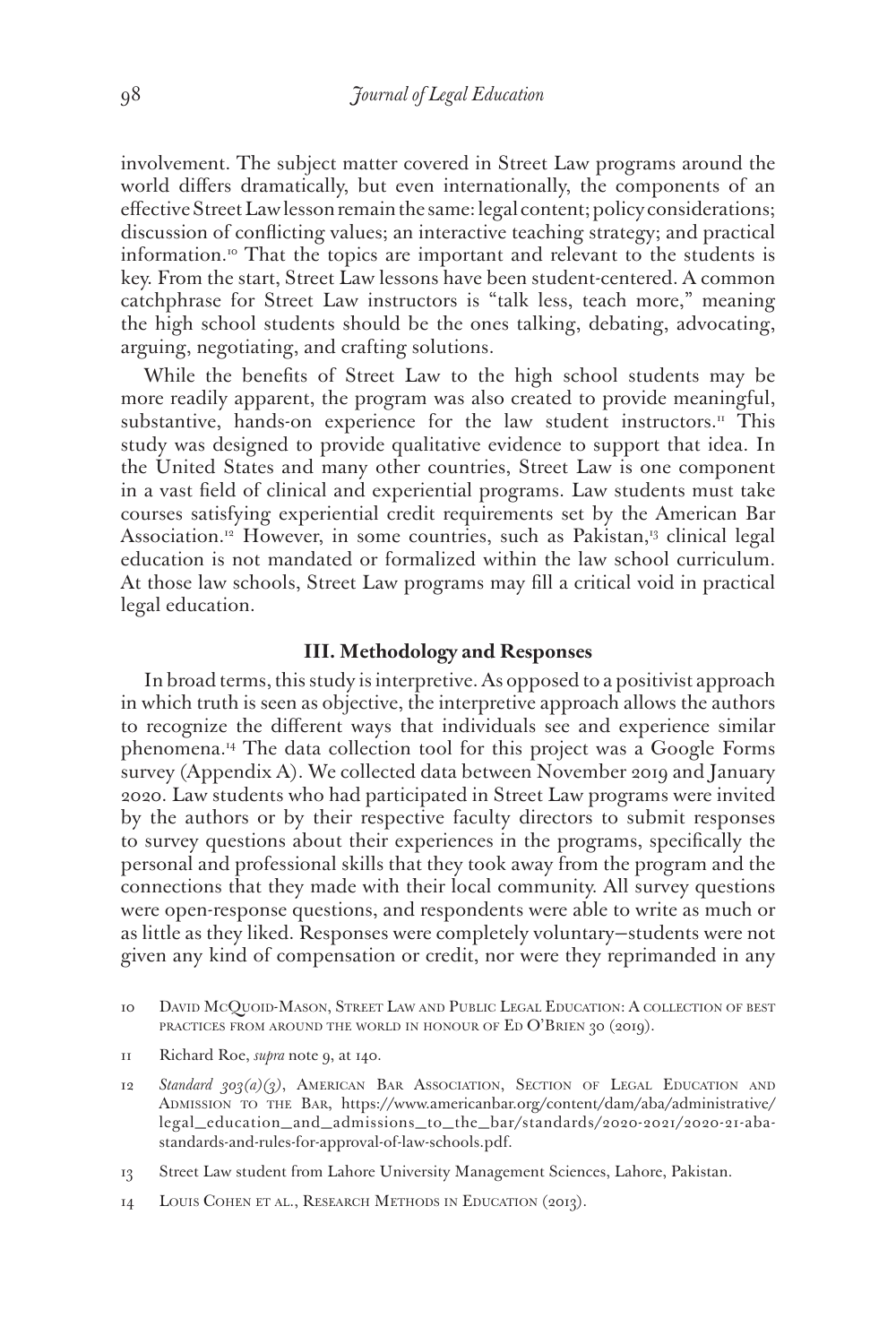involvement. The subject matter covered in Street Law programs around the world differs dramatically, but even internationally, the components of an effective Street Law lesson remain the same: legal content; policy considerations; discussion of conflicting values; an interactive teaching strategy; and practical information.10 That the topics are important and relevant to the students is key. From the start, Street Law lessons have been student-centered. A common catchphrase for Street Law instructors is "talk less, teach more," meaning the high school students should be the ones talking, debating, advocating, arguing, negotiating, and crafting solutions.

While the benefits of Street Law to the high school students may be more readily apparent, the program was also created to provide meaningful, substantive, hands-on experience for the law student instructors.<sup>11</sup> This study was designed to provide qualitative evidence to support that idea. In the United States and many other countries, Street Law is one component in a vast field of clinical and experiential programs. Law students must take courses satisfying experiential credit requirements set by the American Bar Association.<sup>12</sup> However, in some countries, such as Pakistan,<sup>13</sup> clinical legal education is not mandated or formalized within the law school curriculum. At those law schools, Street Law programs may fill a critical void in practical legal education.

## **III. Methodology and Responses**

In broad terms, this study is interpretive. As opposed to a positivist approach in which truth is seen as objective, the interpretive approach allows the authors to recognize the different ways that individuals see and experience similar phenomena.14 The data collection tool for this project was a Google Forms survey (Appendix A). We collected data between November 2019 and January 2020. Law students who had participated in Street Law programs were invited by the authors or by their respective faculty directors to submit responses to survey questions about their experiences in the programs, specifically the personal and professional skills that they took away from the program and the connections that they made with their local community. All survey questions were open-response questions, and respondents were able to write as much or as little as they liked. Responses were completely voluntary—students were not given any kind of compensation or credit, nor were they reprimanded in any

11 Richard Roe, *supra* note 9, at 140.

12 Standard 303(a)(3), AMERICAN BAR ASSOCIATION, SECTION OF LEGAL EDUCATION AND Admission to the Bar, https://www.americanbar.org/content/dam/aba/administrative/ legal\_education\_and\_admissions\_to\_the\_bar/standards/2020-2021/2020-21-abastandards-and-rules-for-approval-of-law-schools.pdf.

13 Street Law student from Lahore University Management Sciences, Lahore, Pakistan.

14 Louis Cohen et al., Research Methods in Education (2013).

<sup>10</sup> DAVID McQUOID-MASON, STREET LAW AND PUBLIC LEGAL EDUCATION: A COLLECTION OF BEST PRACTICES FROM AROUND THE WORLD IN HONOUR OF ED O'BRIEN 30 (2019).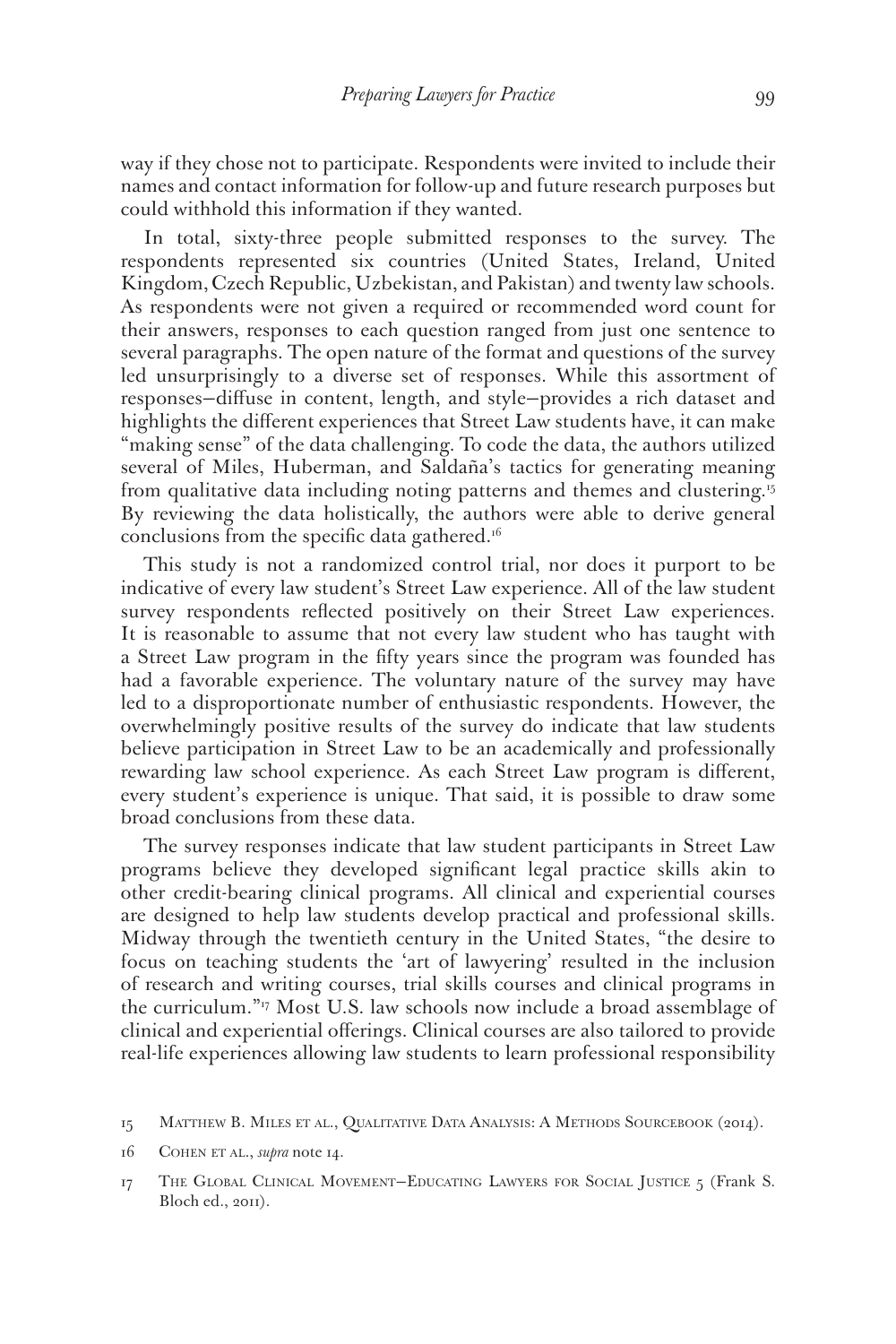way if they chose not to participate. Respondents were invited to include their names and contact information for follow-up and future research purposes but could withhold this information if they wanted.

In total, sixty-three people submitted responses to the survey. The respondents represented six countries (United States, Ireland, United Kingdom, Czech Republic, Uzbekistan, and Pakistan) and twenty law schools. As respondents were not given a required or recommended word count for their answers, responses to each question ranged from just one sentence to several paragraphs. The open nature of the format and questions of the survey led unsurprisingly to a diverse set of responses. While this assortment of responses—diffuse in content, length, and style—provides a rich dataset and highlights the different experiences that Street Law students have, it can make "making sense" of the data challenging. To code the data, the authors utilized several of Miles, Huberman, and Saldaña's tactics for generating meaning from qualitative data including noting patterns and themes and clustering.15 By reviewing the data holistically, the authors were able to derive general conclusions from the specific data gathered.<sup>16</sup>

This study is not a randomized control trial, nor does it purport to be indicative of every law student's Street Law experience. All of the law student survey respondents reflected positively on their Street Law experiences. It is reasonable to assume that not every law student who has taught with a Street Law program in the fifty years since the program was founded has had a favorable experience. The voluntary nature of the survey may have led to a disproportionate number of enthusiastic respondents. However, the overwhelmingly positive results of the survey do indicate that law students believe participation in Street Law to be an academically and professionally rewarding law school experience. As each Street Law program is different, every student's experience is unique. That said, it is possible to draw some broad conclusions from these data.

The survey responses indicate that law student participants in Street Law programs believe they developed significant legal practice skills akin to other credit-bearing clinical programs. All clinical and experiential courses are designed to help law students develop practical and professional skills. Midway through the twentieth century in the United States, "the desire to focus on teaching students the 'art of lawyering' resulted in the inclusion of research and writing courses, trial skills courses and clinical programs in the curriculum."17 Most U.S. law schools now include a broad assemblage of clinical and experiential offerings. Clinical courses are also tailored to provide real-life experiences allowing law students to learn professional responsibility

<sup>15</sup> Matthew B. Miles et al., Qualitative Data Analysis: A Methods Sourcebook (2014).

<sup>16</sup> COHEN ET AL., *supra* note 14.

<sup>17</sup> The Global Clinical Movement—Educating Lawyers for Social Justice 5 (Frank S. Bloch ed., 2011).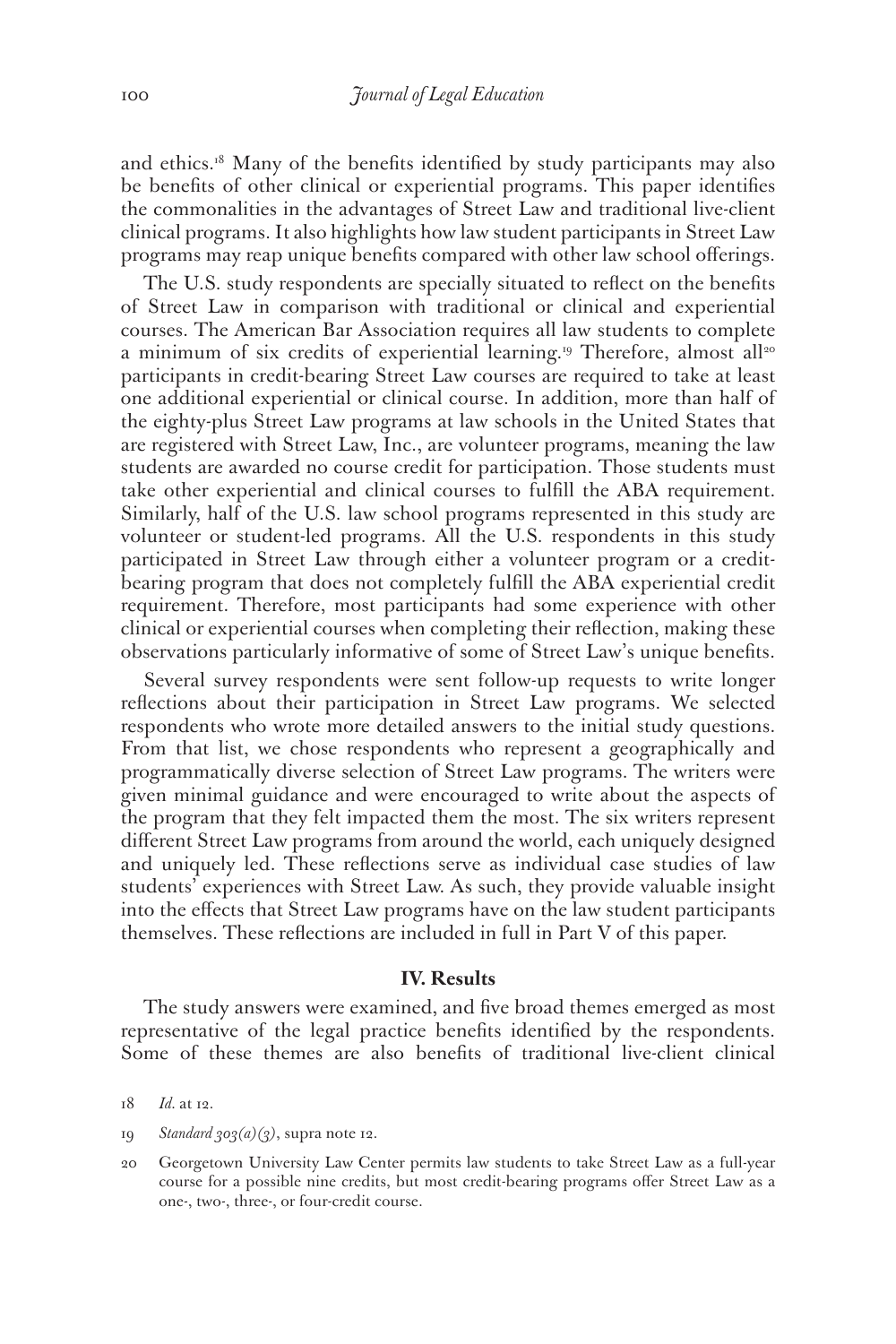and ethics.18 Many of the benefits identified by study participants may also be benefits of other clinical or experiential programs. This paper identifies the commonalities in the advantages of Street Law and traditional live-client clinical programs. It also highlights how law student participants in Street Law programs may reap unique benefits compared with other law school offerings.

The U.S. study respondents are specially situated to reflect on the benefits of Street Law in comparison with traditional or clinical and experiential courses. The American Bar Association requires all law students to complete a minimum of six credits of experiential learning.<sup>19</sup> Therefore, almost all<sup>20</sup> participants in credit-bearing Street Law courses are required to take at least one additional experiential or clinical course. In addition, more than half of the eighty-plus Street Law programs at law schools in the United States that are registered with Street Law, Inc., are volunteer programs, meaning the law students are awarded no course credit for participation. Those students must take other experiential and clinical courses to fulfill the ABA requirement. Similarly, half of the U.S. law school programs represented in this study are volunteer or student-led programs. All the U.S. respondents in this study participated in Street Law through either a volunteer program or a creditbearing program that does not completely fulfill the ABA experiential credit requirement. Therefore, most participants had some experience with other clinical or experiential courses when completing their reflection, making these observations particularly informative of some of Street Law's unique benefits.

Several survey respondents were sent follow-up requests to write longer reflections about their participation in Street Law programs. We selected respondents who wrote more detailed answers to the initial study questions. From that list, we chose respondents who represent a geographically and programmatically diverse selection of Street Law programs. The writers were given minimal guidance and were encouraged to write about the aspects of the program that they felt impacted them the most. The six writers represent different Street Law programs from around the world, each uniquely designed and uniquely led. These reflections serve as individual case studies of law students' experiences with Street Law. As such, they provide valuable insight into the effects that Street Law programs have on the law student participants themselves. These reflections are included in full in Part V of this paper.

#### **IV. Results**

The study answers were examined, and five broad themes emerged as most representative of the legal practice benefits identified by the respondents. Some of these themes are also benefits of traditional live-client clinical

- 19 *Standard 303(a)(3)*, supra note 12.
- 20 Georgetown University Law Center permits law students to take Street Law as a full-year course for a possible nine credits, but most credit-bearing programs offer Street Law as a one-, two-, three-, or four-credit course.

<sup>18</sup> *Id.* at 12.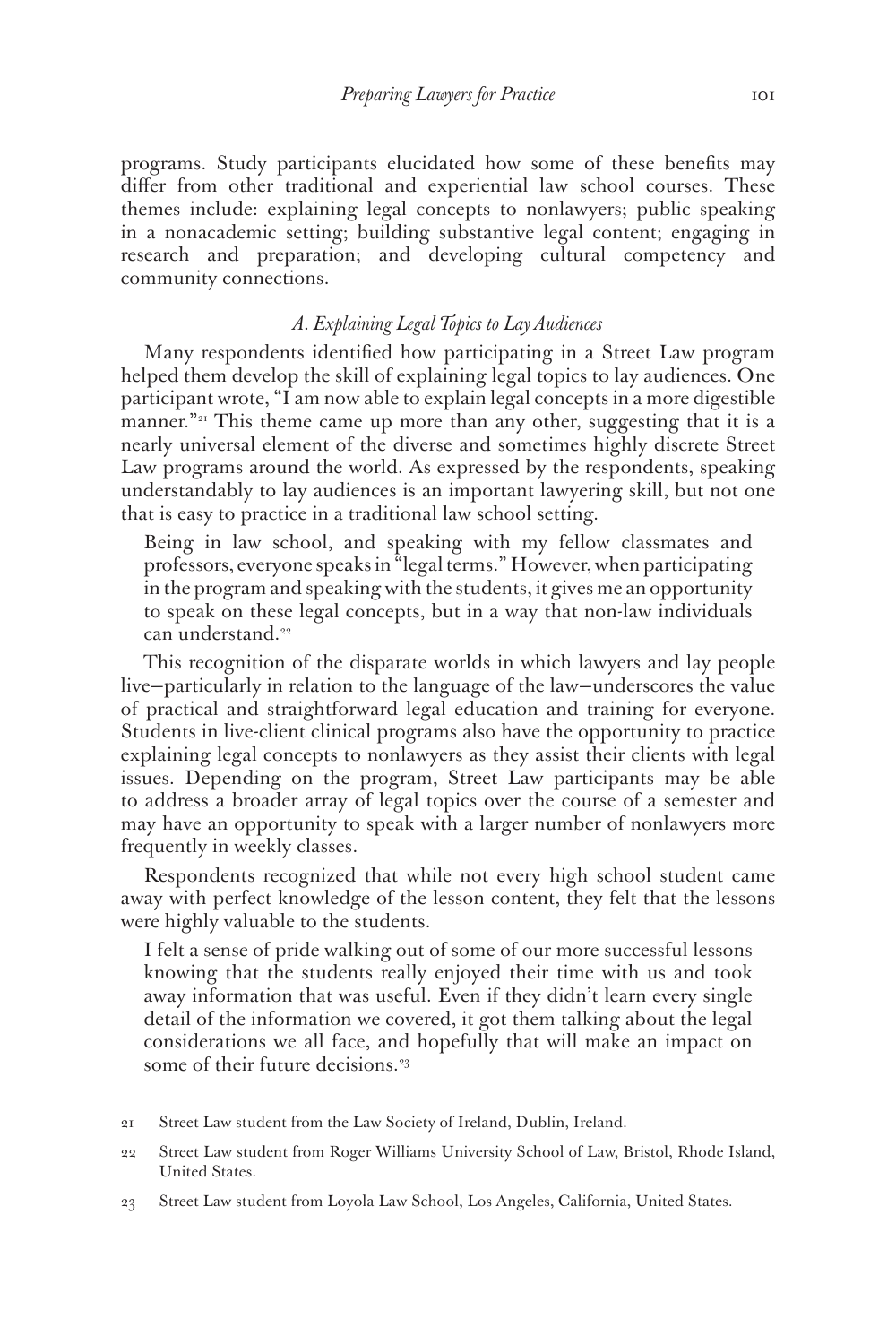programs. Study participants elucidated how some of these benefits may differ from other traditional and experiential law school courses. These themes include: explaining legal concepts to nonlawyers; public speaking in a nonacademic setting; building substantive legal content; engaging in research and preparation; and developing cultural competency and community connections.

# *A. Explaining Legal Topics to Lay Audiences*

Many respondents identified how participating in a Street Law program helped them develop the skill of explaining legal topics to lay audiences. One participant wrote, "I am now able to explain legal concepts in a more digestible manner."<sup>21</sup> This theme came up more than any other, suggesting that it is a nearly universal element of the diverse and sometimes highly discrete Street Law programs around the world. As expressed by the respondents, speaking understandably to lay audiences is an important lawyering skill, but not one that is easy to practice in a traditional law school setting.

Being in law school, and speaking with my fellow classmates and professors, everyone speaks in "legal terms." However, when participating in the program and speaking with the students, it gives me an opportunity to speak on these legal concepts, but in a way that non-law individuals can understand.<sup>22</sup>

This recognition of the disparate worlds in which lawyers and lay people live—particularly in relation to the language of the law—underscores the value of practical and straightforward legal education and training for everyone. Students in live-client clinical programs also have the opportunity to practice explaining legal concepts to nonlawyers as they assist their clients with legal issues. Depending on the program, Street Law participants may be able to address a broader array of legal topics over the course of a semester and may have an opportunity to speak with a larger number of nonlawyers more frequently in weekly classes.

Respondents recognized that while not every high school student came away with perfect knowledge of the lesson content, they felt that the lessons were highly valuable to the students.

I felt a sense of pride walking out of some of our more successful lessons knowing that the students really enjoyed their time with us and took away information that was useful. Even if they didn't learn every single detail of the information we covered, it got them talking about the legal considerations we all face, and hopefully that will make an impact on some of their future decisions.<sup>23</sup>

- 21 Street Law student from the Law Society of Ireland, Dublin, Ireland.
- 22 Street Law student from Roger Williams University School of Law, Bristol, Rhode Island, United States.
- 23 Street Law student from Loyola Law School, Los Angeles, California, United States.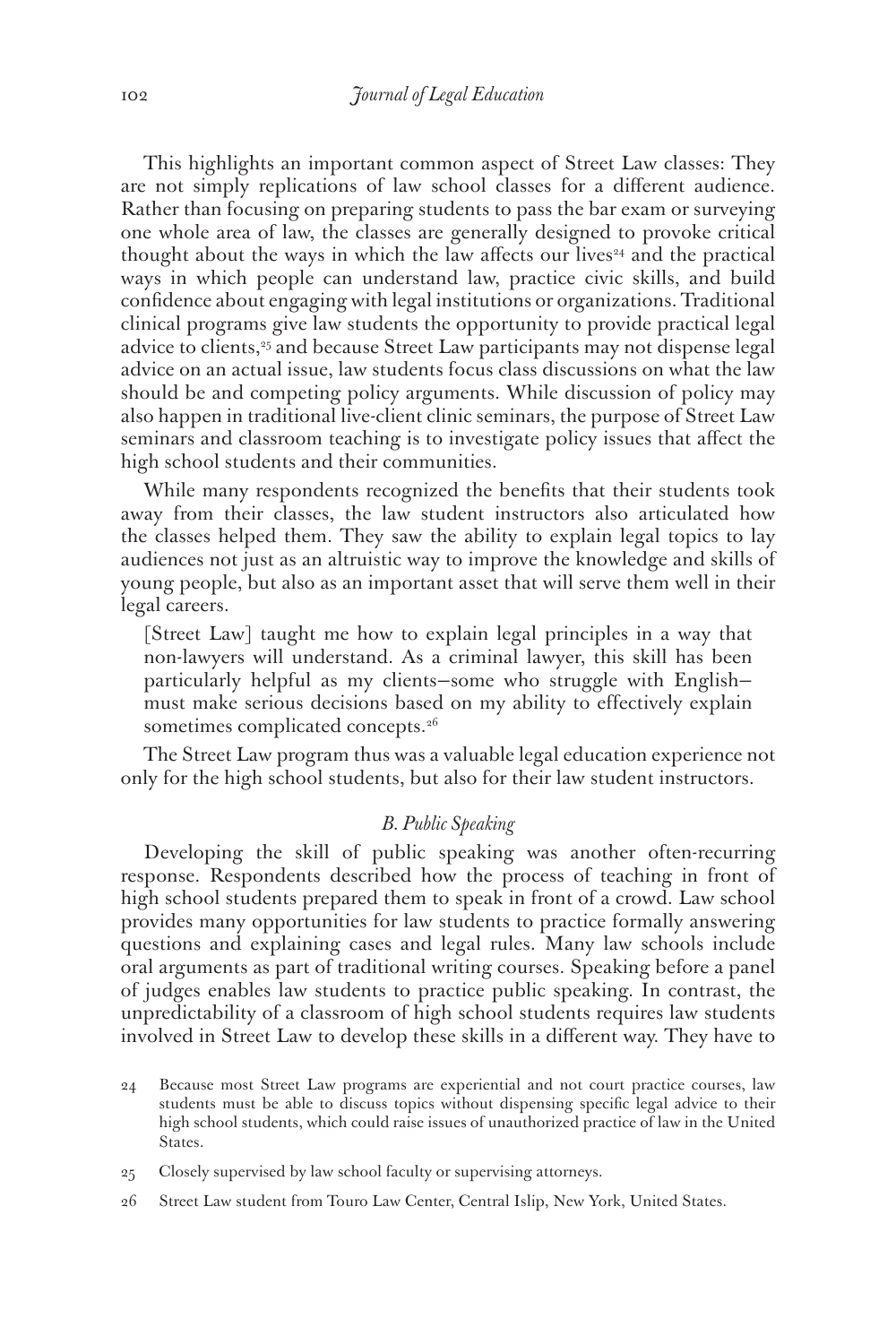This highlights an important common aspect of Street Law classes: They are not simply replications of law school classes for a different audience. Rather than focusing on preparing students to pass the bar exam or surveying one whole area of law, the classes are generally designed to provoke critical thought about the ways in which the law affects our lives<sup> $24$ </sup> and the practical ways in which people can understand law, practice civic skills, and build confidence about engaging with legal institutions or organizations. Traditional clinical programs give law students the opportunity to provide practical legal advice to clients,<sup>25</sup> and because Street Law participants may not dispense legal advice on an actual issue, law students focus class discussions on what the law should be and competing policy arguments. While discussion of policy may also happen in traditional live-client clinic seminars, the purpose of Street Law seminars and classroom teaching is to investigate policy issues that affect the high school students and their communities.

While many respondents recognized the benefits that their students took away from their classes, the law student instructors also articulated how the classes helped them. They saw the ability to explain legal topics to lay audiences not just as an altruistic way to improve the knowledge and skills of young people, but also as an important asset that will serve them well in their legal careers.

[Street Law] taught me how to explain legal principles in a way that non-lawyers will understand. As a criminal lawyer, this skill has been particularly helpful as my clients—some who struggle with English must make serious decisions based on my ability to effectively explain sometimes complicated concepts.<sup>26</sup>

The Street Law program thus was a valuable legal education experience not only for the high school students, but also for their law student instructors.

## *B. Public Speaking*

Developing the skill of public speaking was another often-recurring response. Respondents described how the process of teaching in front of high school students prepared them to speak in front of a crowd. Law school provides many opportunities for law students to practice formally answering questions and explaining cases and legal rules. Many law schools include oral arguments as part of traditional writing courses. Speaking before a panel of judges enables law students to practice public speaking. In contrast, the unpredictability of a classroom of high school students requires law students involved in Street Law to develop these skills in a different way. They have to

<sup>24</sup> Because most Street Law programs are experiential and not court practice courses, law students must be able to discuss topics without dispensing specific legal advice to their high school students, which could raise issues of unauthorized practice of law in the United States.

<sup>25</sup> Closely supervised by law school faculty or supervising attorneys.

<sup>26</sup> Street Law student from Touro Law Center, Central Islip, New York, United States.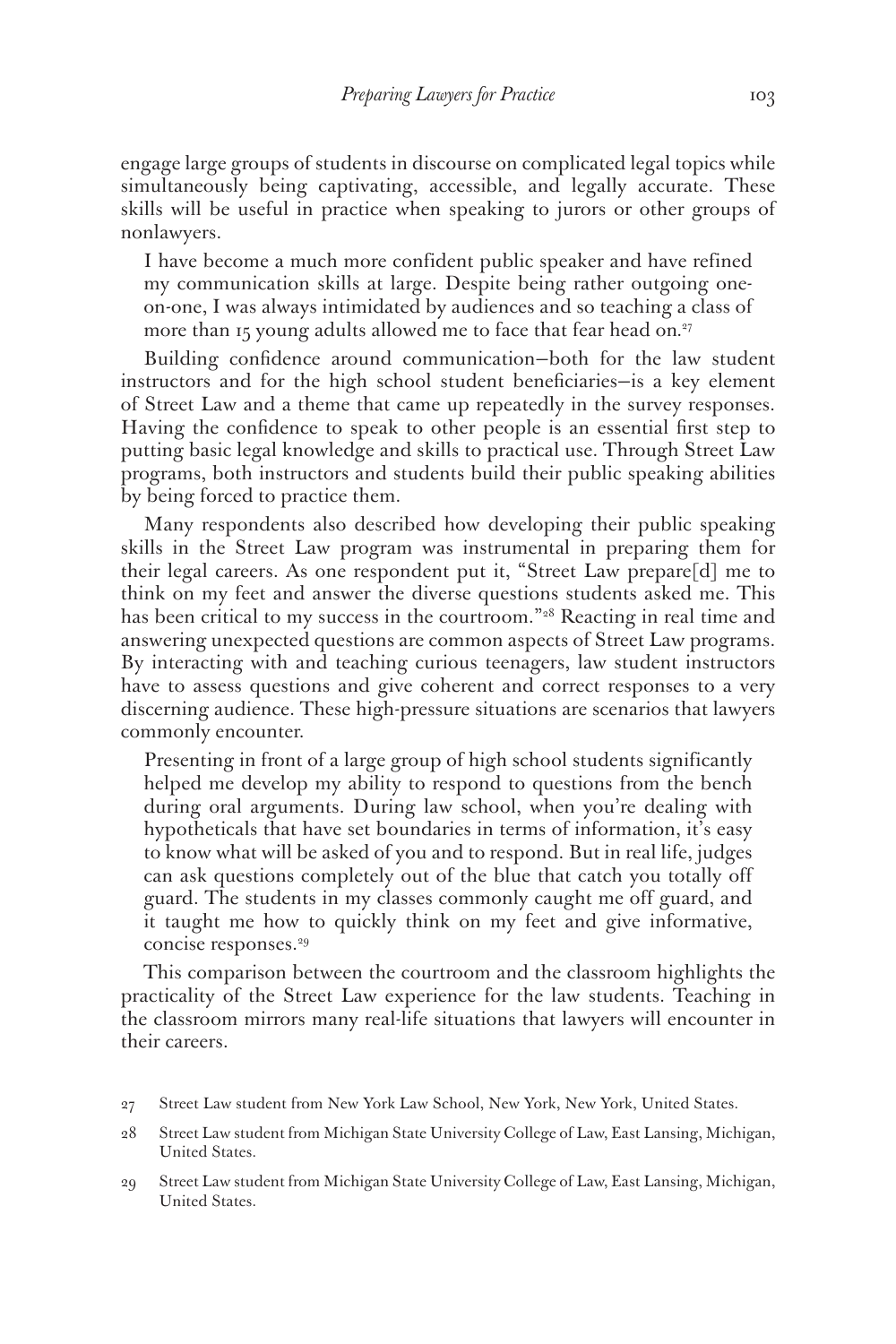engage large groups of students in discourse on complicated legal topics while simultaneously being captivating, accessible, and legally accurate. These skills will be useful in practice when speaking to jurors or other groups of nonlawyers.

I have become a much more confident public speaker and have refined my communication skills at large. Despite being rather outgoing oneon-one, I was always intimidated by audiences and so teaching a class of more than 15 young adults allowed me to face that fear head on*.* 27

Building confidence around communication—both for the law student instructors and for the high school student beneficiaries—is a key element of Street Law and a theme that came up repeatedly in the survey responses. Having the confidence to speak to other people is an essential first step to putting basic legal knowledge and skills to practical use. Through Street Law programs, both instructors and students build their public speaking abilities by being forced to practice them.

Many respondents also described how developing their public speaking skills in the Street Law program was instrumental in preparing them for their legal careers. As one respondent put it, "Street Law prepare[d] me to think on my feet and answer the diverse questions students asked me. This has been critical to my success in the courtroom."<sup>28</sup> Reacting in real time and answering unexpected questions are common aspects of Street Law programs. By interacting with and teaching curious teenagers, law student instructors have to assess questions and give coherent and correct responses to a very discerning audience. These high-pressure situations are scenarios that lawyers commonly encounter.

Presenting in front of a large group of high school students significantly helped me develop my ability to respond to questions from the bench during oral arguments. During law school, when you're dealing with hypotheticals that have set boundaries in terms of information, it's easy to know what will be asked of you and to respond. But in real life, judges can ask questions completely out of the blue that catch you totally off guard. The students in my classes commonly caught me off guard, and it taught me how to quickly think on my feet and give informative, concise responses.<sup>29</sup>

This comparison between the courtroom and the classroom highlights the practicality of the Street Law experience for the law students. Teaching in the classroom mirrors many real-life situations that lawyers will encounter in their careers.

<sup>27</sup> Street Law student from New York Law School, New York, New York, United States.

<sup>28</sup> Street Law student from Michigan State University College of Law, East Lansing, Michigan, United States.

<sup>29</sup> Street Law student from Michigan State University College of Law, East Lansing, Michigan, United States.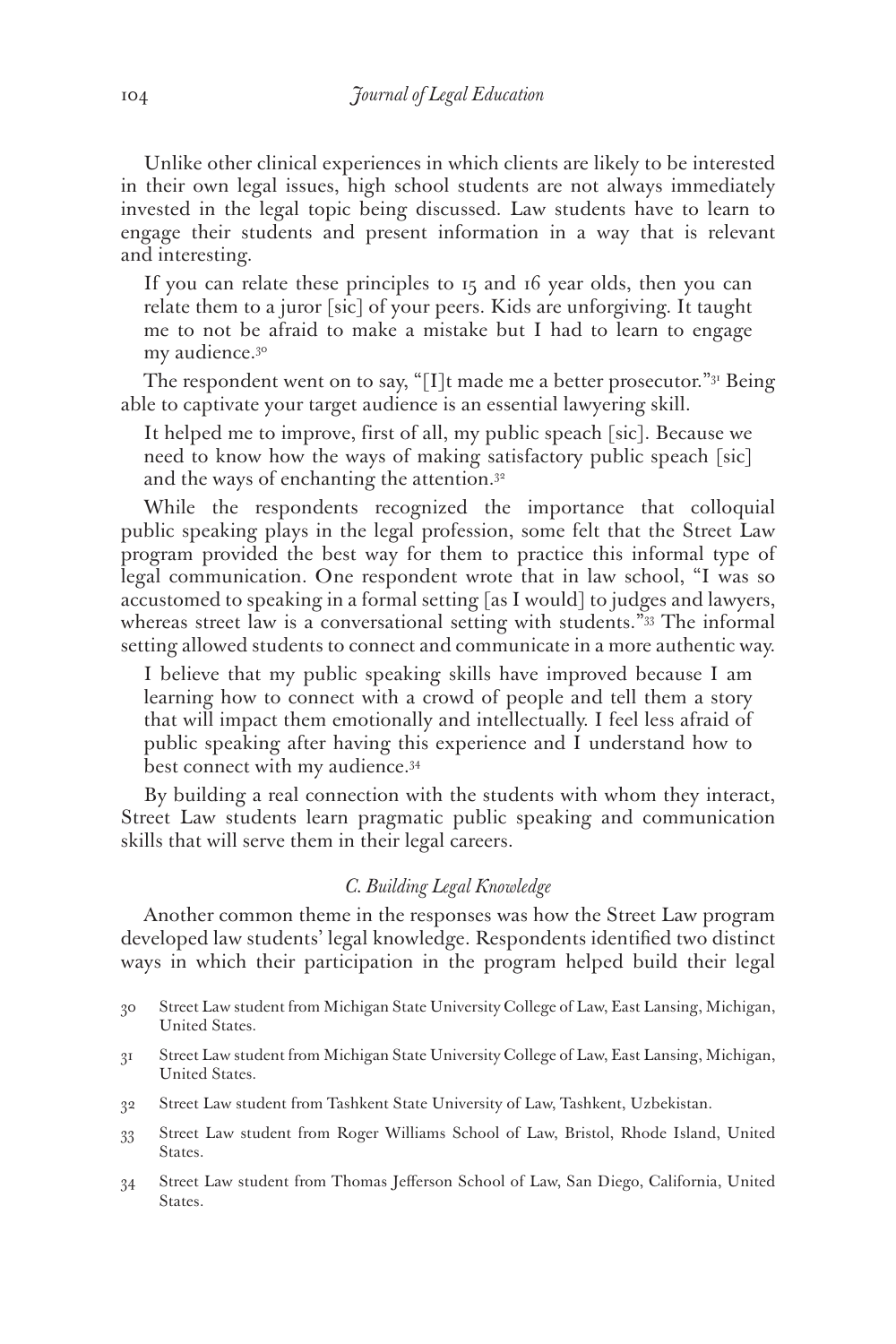Unlike other clinical experiences in which clients are likely to be interested in their own legal issues, high school students are not always immediately invested in the legal topic being discussed. Law students have to learn to engage their students and present information in a way that is relevant and interesting.

If you can relate these principles to 15 and 16 year olds, then you can relate them to a juror [sic] of your peers. Kids are unforgiving. It taught me to not be afraid to make a mistake but I had to learn to engage my audience.<sup>30</sup>

The respondent went on to say, "[I]t made me a better prosecutor." $31$  Being able to captivate your target audience is an essential lawyering skill.

It helped me to improve, first of all, my public speach [sic]. Because we need to know how the ways of making satisfactory public speach [sic] and the ways of enchanting the attention.<sup>32</sup>

While the respondents recognized the importance that colloquial public speaking plays in the legal profession, some felt that the Street Law program provided the best way for them to practice this informal type of legal communication. One respondent wrote that in law school, "I was so accustomed to speaking in a formal setting [as I would] to judges and lawyers, whereas street law is a conversational setting with students."<sup>33</sup> The informal setting allowed students to connect and communicate in a more authentic way.

I believe that my public speaking skills have improved because I am learning how to connect with a crowd of people and tell them a story that will impact them emotionally and intellectually. I feel less afraid of public speaking after having this experience and I understand how to best connect with my audience.34

By building a real connection with the students with whom they interact, Street Law students learn pragmatic public speaking and communication skills that will serve them in their legal careers.

#### *C. Building Legal Knowledge*

Another common theme in the responses was how the Street Law program developed law students' legal knowledge. Respondents identified two distinct ways in which their participation in the program helped build their legal

- 31 Street Law student from Michigan State University College of Law, East Lansing, Michigan, United States.
- 32 Street Law student from Tashkent State University of Law, Tashkent, Uzbekistan.
- 33 Street Law student from Roger Williams School of Law, Bristol, Rhode Island, United States.
- 34 Street Law student from Thomas Jefferson School of Law, San Diego, California, United States.

<sup>30</sup> Street Law student from Michigan State University College of Law, East Lansing, Michigan, United States.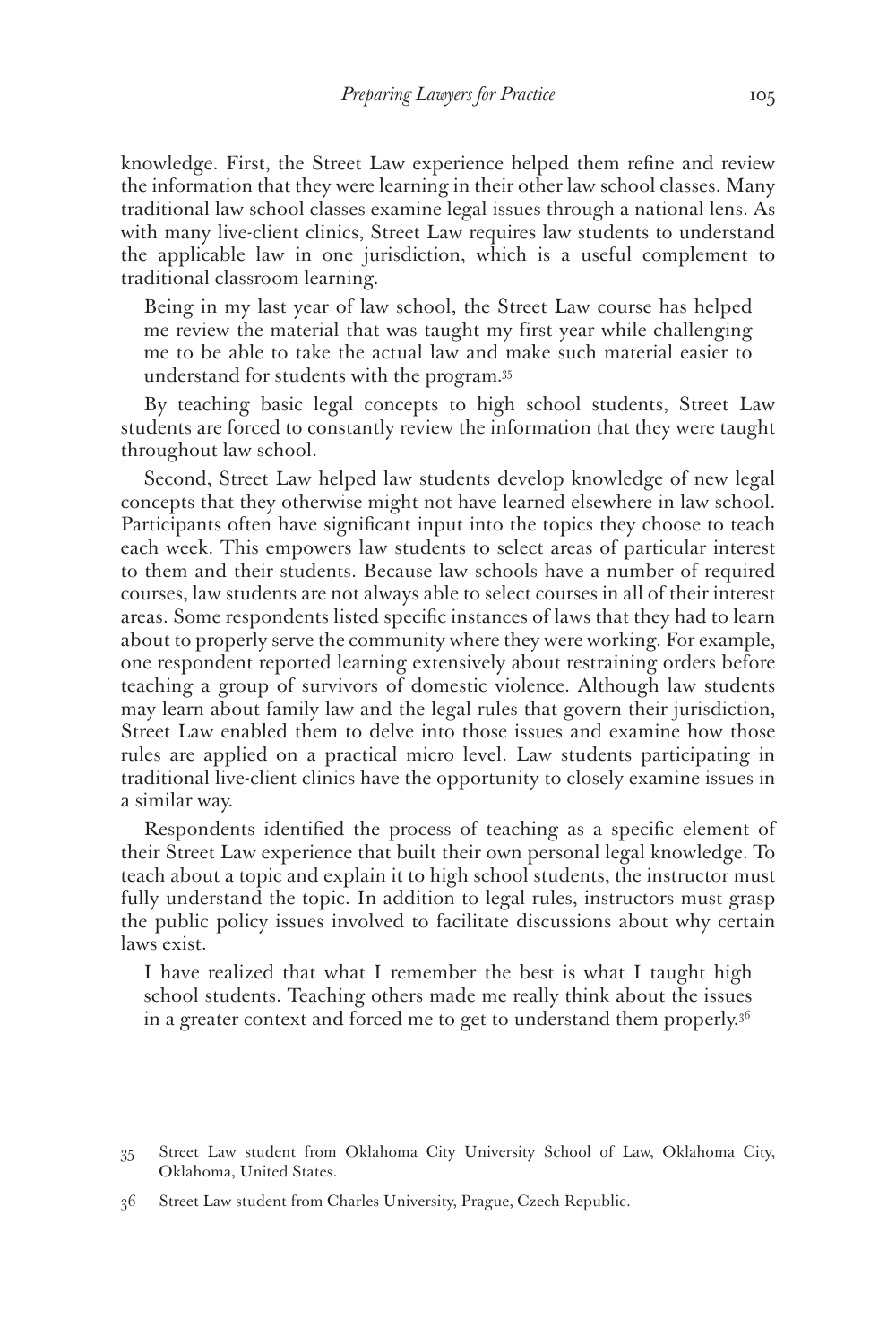knowledge. First, the Street Law experience helped them refine and review the information that they were learning in their other law school classes. Many traditional law school classes examine legal issues through a national lens. As with many live-client clinics, Street Law requires law students to understand the applicable law in one jurisdiction, which is a useful complement to traditional classroom learning.

Being in my last year of law school, the Street Law course has helped me review the material that was taught my first year while challenging me to be able to take the actual law and make such material easier to understand for students with the program*.* 35

By teaching basic legal concepts to high school students, Street Law students are forced to constantly review the information that they were taught throughout law school.

Second, Street Law helped law students develop knowledge of new legal concepts that they otherwise might not have learned elsewhere in law school. Participants often have significant input into the topics they choose to teach each week. This empowers law students to select areas of particular interest to them and their students. Because law schools have a number of required courses, law students are not always able to select courses in all of their interest areas. Some respondents listed specific instances of laws that they had to learn about to properly serve the community where they were working. For example, one respondent reported learning extensively about restraining orders before teaching a group of survivors of domestic violence. Although law students may learn about family law and the legal rules that govern their jurisdiction, Street Law enabled them to delve into those issues and examine how those rules are applied on a practical micro level. Law students participating in traditional live-client clinics have the opportunity to closely examine issues in a similar way.

Respondents identified the process of teaching as a specific element of their Street Law experience that built their own personal legal knowledge. To teach about a topic and explain it to high school students, the instructor must fully understand the topic. In addition to legal rules, instructors must grasp the public policy issues involved to facilitate discussions about why certain laws exist.

I have realized that what I remember the best is what I taught high school students. Teaching others made me really think about the issues in a greater context and forced me to get to understand them properly.<sup>36</sup>

<sup>35</sup> Street Law student from Oklahoma City University School of Law, Oklahoma City, Oklahoma, United States.

<sup>36</sup> Street Law student from Charles University, Prague, Czech Republic.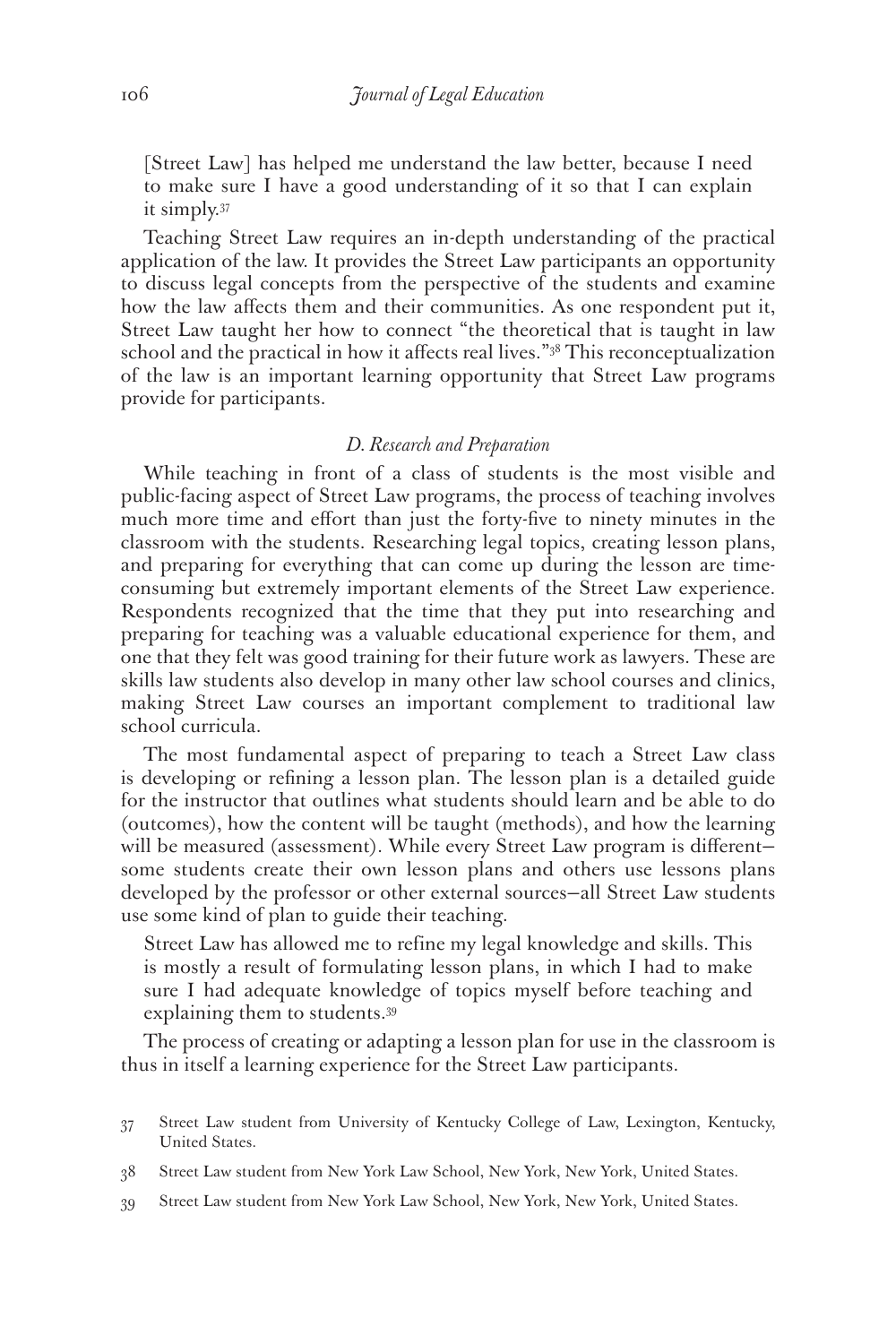[Street Law] has helped me understand the law better, because I need to make sure I have a good understanding of it so that I can explain it simply.37

Teaching Street Law requires an in-depth understanding of the practical application of the law. It provides the Street Law participants an opportunity to discuss legal concepts from the perspective of the students and examine how the law affects them and their communities. As one respondent put it, Street Law taught her how to connect "the theoretical that is taught in law school and the practical in how it affects real lives."38 This reconceptualization of the law is an important learning opportunity that Street Law programs provide for participants.

#### *D. Research and Preparation*

While teaching in front of a class of students is the most visible and public-facing aspect of Street Law programs, the process of teaching involves much more time and effort than just the forty-five to ninety minutes in the classroom with the students. Researching legal topics, creating lesson plans, and preparing for everything that can come up during the lesson are timeconsuming but extremely important elements of the Street Law experience. Respondents recognized that the time that they put into researching and preparing for teaching was a valuable educational experience for them, and one that they felt was good training for their future work as lawyers. These are skills law students also develop in many other law school courses and clinics, making Street Law courses an important complement to traditional law school curricula.

The most fundamental aspect of preparing to teach a Street Law class is developing or refining a lesson plan. The lesson plan is a detailed guide for the instructor that outlines what students should learn and be able to do (outcomes), how the content will be taught (methods), and how the learning will be measured (assessment). While every Street Law program is different some students create their own lesson plans and others use lessons plans developed by the professor or other external sources—all Street Law students use some kind of plan to guide their teaching.

Street Law has allowed me to refine my legal knowledge and skills. This is mostly a result of formulating lesson plans, in which I had to make sure I had adequate knowledge of topics myself before teaching and explaining them to students.39

The process of creating or adapting a lesson plan for use in the classroom is thus in itself a learning experience for the Street Law participants.

- 37 Street Law student from University of Kentucky College of Law, Lexington, Kentucky, United States.
- 38 Street Law student from New York Law School, New York, New York, United States.
- 39 Street Law student from New York Law School, New York, New York, United States.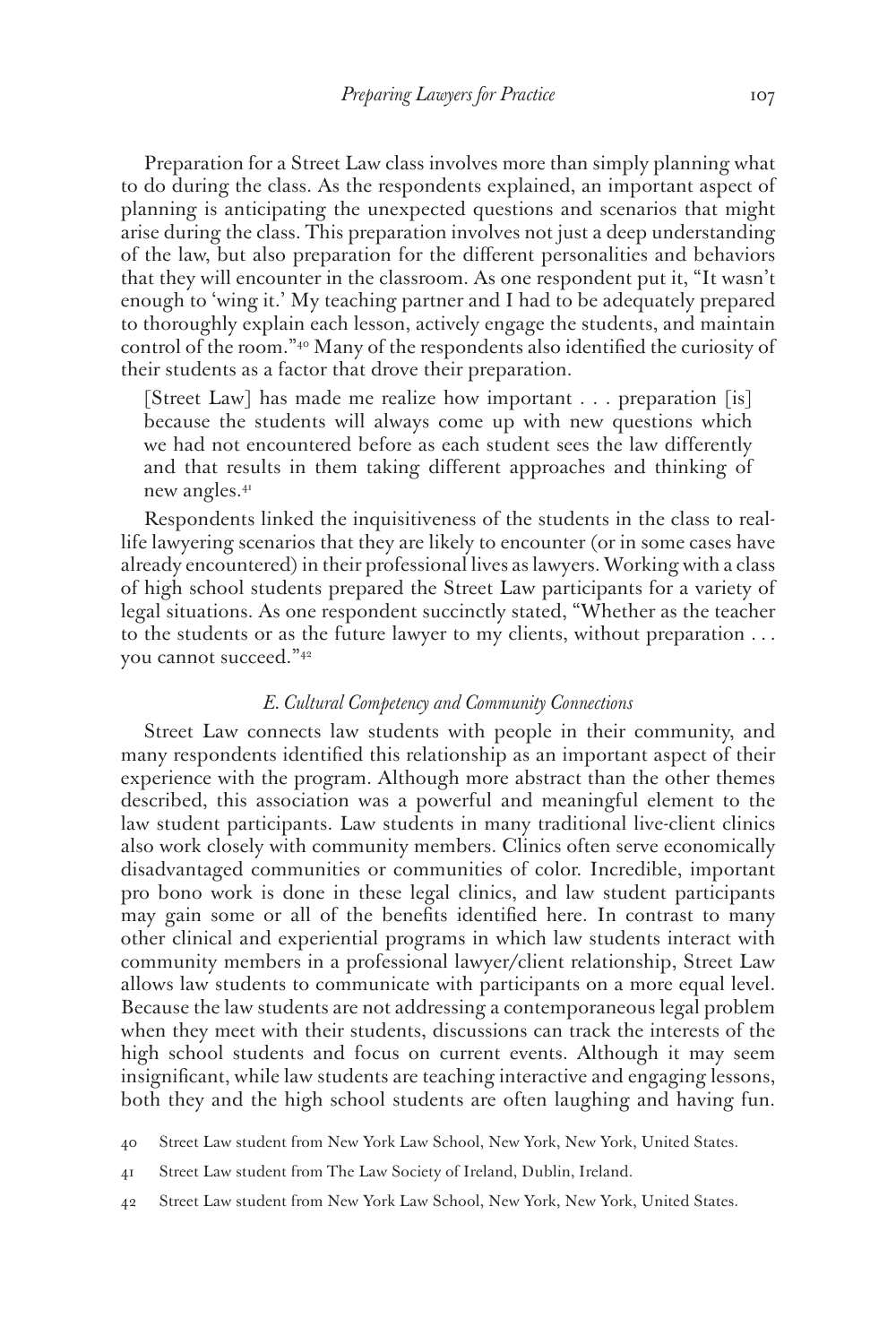Preparation for a Street Law class involves more than simply planning what to do during the class. As the respondents explained, an important aspect of planning is anticipating the unexpected questions and scenarios that might arise during the class. This preparation involves not just a deep understanding of the law, but also preparation for the different personalities and behaviors that they will encounter in the classroom. As one respondent put it, "It wasn't enough to 'wing it.' My teaching partner and I had to be adequately prepared to thoroughly explain each lesson, actively engage the students, and maintain control of the room."40 Many of the respondents also identified the curiosity of their students as a factor that drove their preparation.

[Street Law] has made me realize how important . . . preparation [is] because the students will always come up with new questions which we had not encountered before as each student sees the law differently and that results in them taking different approaches and thinking of new angles.41

Respondents linked the inquisitiveness of the students in the class to reallife lawyering scenarios that they are likely to encounter (or in some cases have already encountered) in their professional lives as lawyers. Working with a class of high school students prepared the Street Law participants for a variety of legal situations. As one respondent succinctly stated, "Whether as the teacher to the students or as the future lawyer to my clients, without preparation . *. .* you cannot succeed."42

#### *E. Cultural Competency and Community Connections*

Street Law connects law students with people in their community, and many respondents identified this relationship as an important aspect of their experience with the program. Although more abstract than the other themes described, this association was a powerful and meaningful element to the law student participants. Law students in many traditional live-client clinics also work closely with community members. Clinics often serve economically disadvantaged communities or communities of color. Incredible, important pro bono work is done in these legal clinics, and law student participants may gain some or all of the benefits identified here. In contrast to many other clinical and experiential programs in which law students interact with community members in a professional lawyer/client relationship, Street Law allows law students to communicate with participants on a more equal level. Because the law students are not addressing a contemporaneous legal problem when they meet with their students, discussions can track the interests of the high school students and focus on current events. Although it may seem insignificant, while law students are teaching interactive and engaging lessons, both they and the high school students are often laughing and having fun.

40 Street Law student from New York Law School, New York, New York, United States.

41 Street Law student from The Law Society of Ireland, Dublin, Ireland.

42 Street Law student from New York Law School, New York, New York, United States.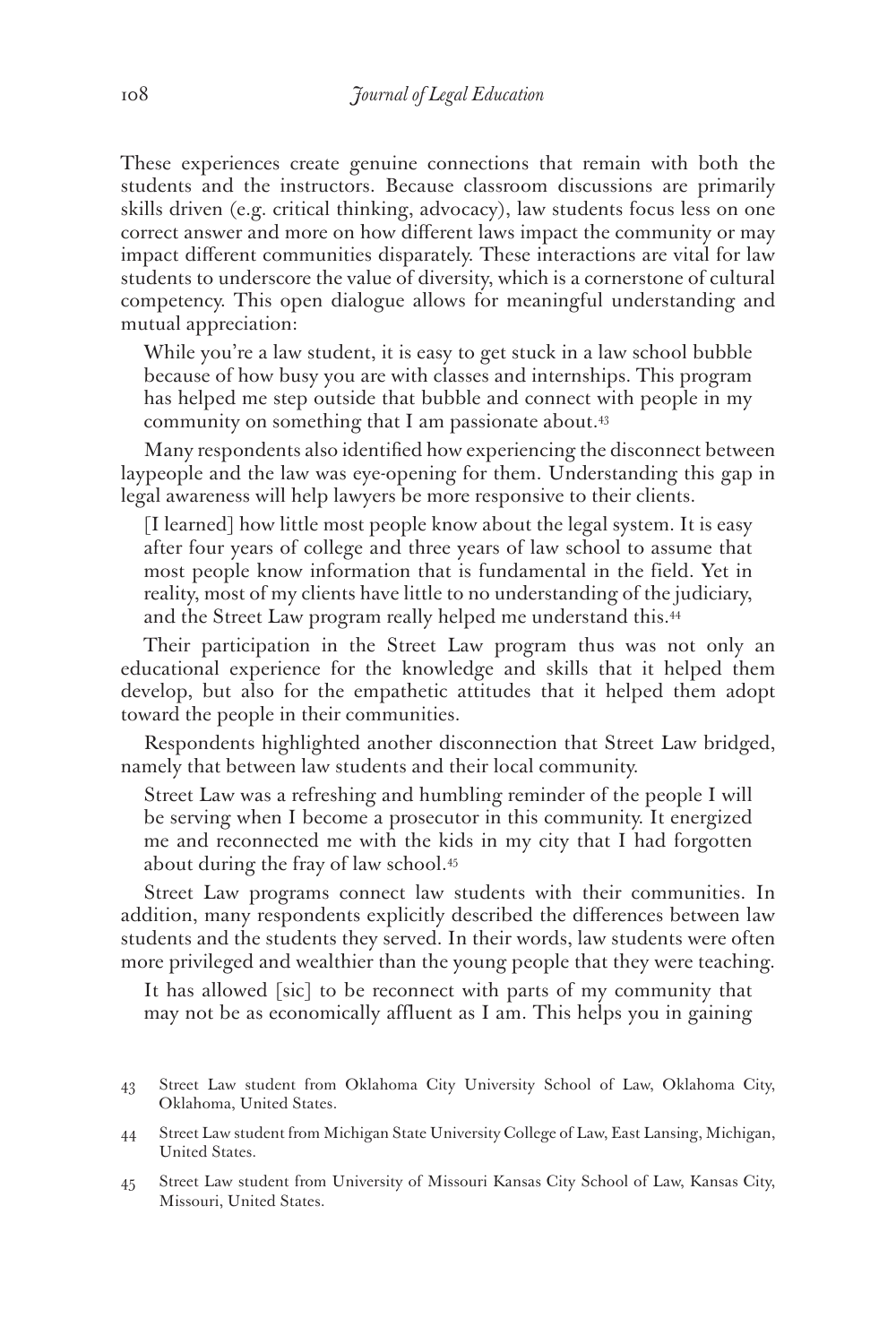These experiences create genuine connections that remain with both the students and the instructors. Because classroom discussions are primarily skills driven (e.g. critical thinking, advocacy), law students focus less on one correct answer and more on how different laws impact the community or may impact different communities disparately. These interactions are vital for law students to underscore the value of diversity, which is a cornerstone of cultural competency. This open dialogue allows for meaningful understanding and mutual appreciation:

While you're a law student, it is easy to get stuck in a law school bubble because of how busy you are with classes and internships. This program has helped me step outside that bubble and connect with people in my community on something that I am passionate about.<sup>43</sup>

Many respondents also identified how experiencing the disconnect between laypeople and the law was eye-opening for them. Understanding this gap in legal awareness will help lawyers be more responsive to their clients.

[I learned] how little most people know about the legal system. It is easy after four years of college and three years of law school to assume that most people know information that is fundamental in the field. Yet in reality, most of my clients have little to no understanding of the judiciary, and the Street Law program really helped me understand this.<sup>44</sup>

Their participation in the Street Law program thus was not only an educational experience for the knowledge and skills that it helped them develop, but also for the empathetic attitudes that it helped them adopt toward the people in their communities.

Respondents highlighted another disconnection that Street Law bridged, namely that between law students and their local community.

Street Law was a refreshing and humbling reminder of the people I will be serving when I become a prosecutor in this community. It energized me and reconnected me with the kids in my city that I had forgotten about during the fray of law school.45

Street Law programs connect law students with their communities. In addition, many respondents explicitly described the differences between law students and the students they served. In their words, law students were often more privileged and wealthier than the young people that they were teaching.

It has allowed [sic] to be reconnect with parts of my community that may not be as economically affluent as I am. This helps you in gaining

<sup>43</sup> Street Law student from Oklahoma City University School of Law, Oklahoma City, Oklahoma, United States.

<sup>44</sup> Street Law student from Michigan State University College of Law, East Lansing, Michigan, United States.

<sup>45</sup> Street Law student from University of Missouri Kansas City School of Law, Kansas City, Missouri, United States.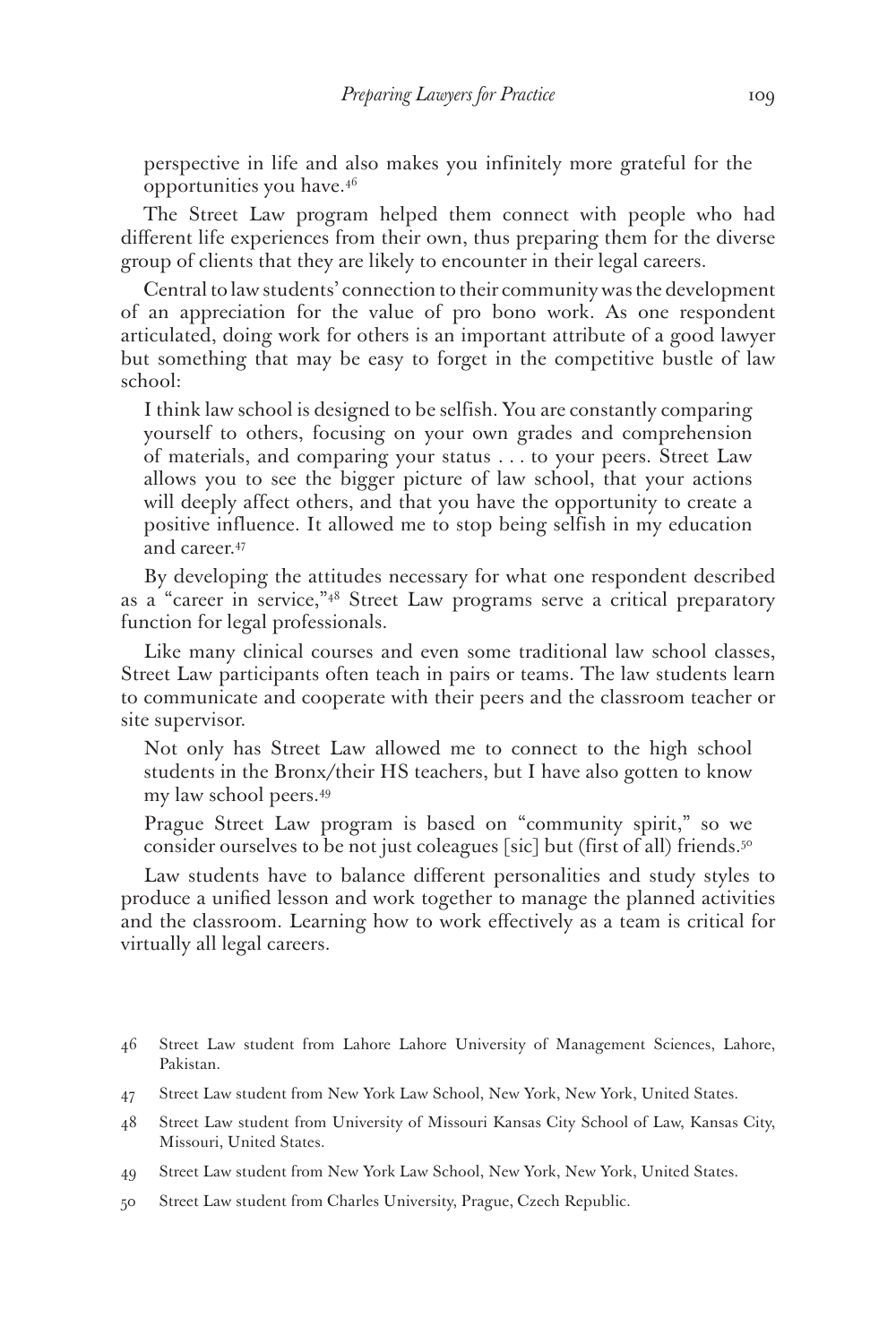perspective in life and also makes you infinitely more grateful for the opportunities you have.46

The Street Law program helped them connect with people who had different life experiences from their own, thus preparing them for the diverse group of clients that they are likely to encounter in their legal careers.

Central to law students' connection to their community was the development of an appreciation for the value of pro bono work. As one respondent articulated, doing work for others is an important attribute of a good lawyer but something that may be easy to forget in the competitive bustle of law school:

I think law school is designed to be selfish. You are constantly comparing yourself to others, focusing on your own grades and comprehension of materials, and comparing your status . *. .* to your peers. Street Law allows you to see the bigger picture of law school, that your actions will deeply affect others, and that you have the opportunity to create a positive influence. It allowed me to stop being selfish in my education and career.47

By developing the attitudes necessary for what one respondent described as a "career in service,"48 Street Law programs serve a critical preparatory function for legal professionals.

Like many clinical courses and even some traditional law school classes, Street Law participants often teach in pairs or teams. The law students learn to communicate and cooperate with their peers and the classroom teacher or site supervisor.

Not only has Street Law allowed me to connect to the high school students in the Bronx/their HS teachers, but I have also gotten to know my law school peers.49

Prague Street Law program is based on "community spirit," so we consider ourselves to be not just coleagues [sic] but (first of all) friends.50

Law students have to balance different personalities and study styles to produce a unified lesson and work together to manage the planned activities and the classroom. Learning how to work effectively as a team is critical for virtually all legal careers.

- 46 Street Law student from Lahore Lahore University of Management Sciences, Lahore, Pakistan.
- 47 Street Law student from New York Law School, New York, New York, United States.
- 48 Street Law student from University of Missouri Kansas City School of Law, Kansas City, Missouri, United States.
- 49 Street Law student from New York Law School, New York, New York, United States.
- 50 Street Law student from Charles University, Prague, Czech Republic.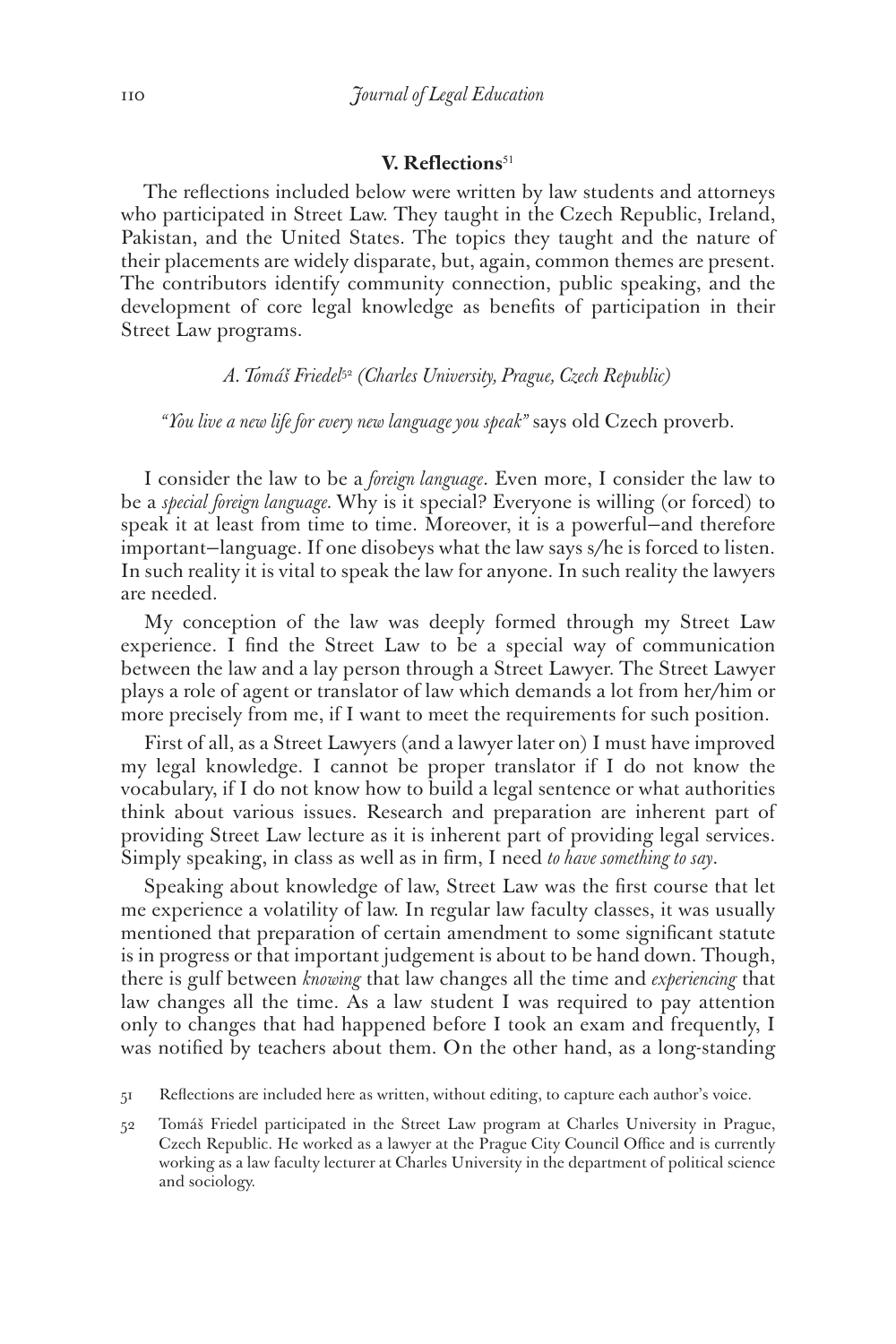## **V.** Reflections<sup>51</sup>

The reflections included below were written by law students and attorneys who participated in Street Law. They taught in the Czech Republic, Ireland, Pakistan, and the United States. The topics they taught and the nature of their placements are widely disparate, but, again, common themes are present. The contributors identify community connection, public speaking, and the development of core legal knowledge as benefits of participation in their Street Law programs.

#### *A. Tomáš Friedel*<sup>52</sup> *(Charles University, Prague, Czech Republic)*

#### *"You live a new life for every new language you speak"* says old Czech proverb.

I consider the law to be a *foreign language*. Even more, I consider the law to be a *special foreign language.* Why is it special? Everyone is willing (or forced) to speak it at least from time to time. Moreover, it is a powerful—and therefore important—language. If one disobeys what the law says s/he is forced to listen. In such reality it is vital to speak the law for anyone. In such reality the lawyers are needed.

My conception of the law was deeply formed through my Street Law experience. I find the Street Law to be a special way of communication between the law and a lay person through a Street Lawyer. The Street Lawyer plays a role of agent or translator of law which demands a lot from her/him or more precisely from me, if I want to meet the requirements for such position.

First of all, as a Street Lawyers (and a lawyer later on) I must have improved my legal knowledge. I cannot be proper translator if I do not know the vocabulary, if I do not know how to build a legal sentence or what authorities think about various issues. Research and preparation are inherent part of providing Street Law lecture as it is inherent part of providing legal services. Simply speaking, in class as well as in firm, I need *to have something to say*.

Speaking about knowledge of law, Street Law was the first course that let me experience a volatility of law. In regular law faculty classes, it was usually mentioned that preparation of certain amendment to some significant statute is in progress or that important judgement is about to be hand down. Though, there is gulf between *knowing* that law changes all the time and *experiencing* that law changes all the time. As a law student I was required to pay attention only to changes that had happened before I took an exam and frequently, I was notified by teachers about them. On the other hand, as a long-standing

51 Reflections are included here as written, without editing, to capture each author's voice.

52 Tomáš Friedel participated in the Street Law program at Charles University in Prague, Czech Republic. He worked as a lawyer at the Prague City Council Office and is currently working as a law faculty lecturer at Charles University in the department of political science and sociology.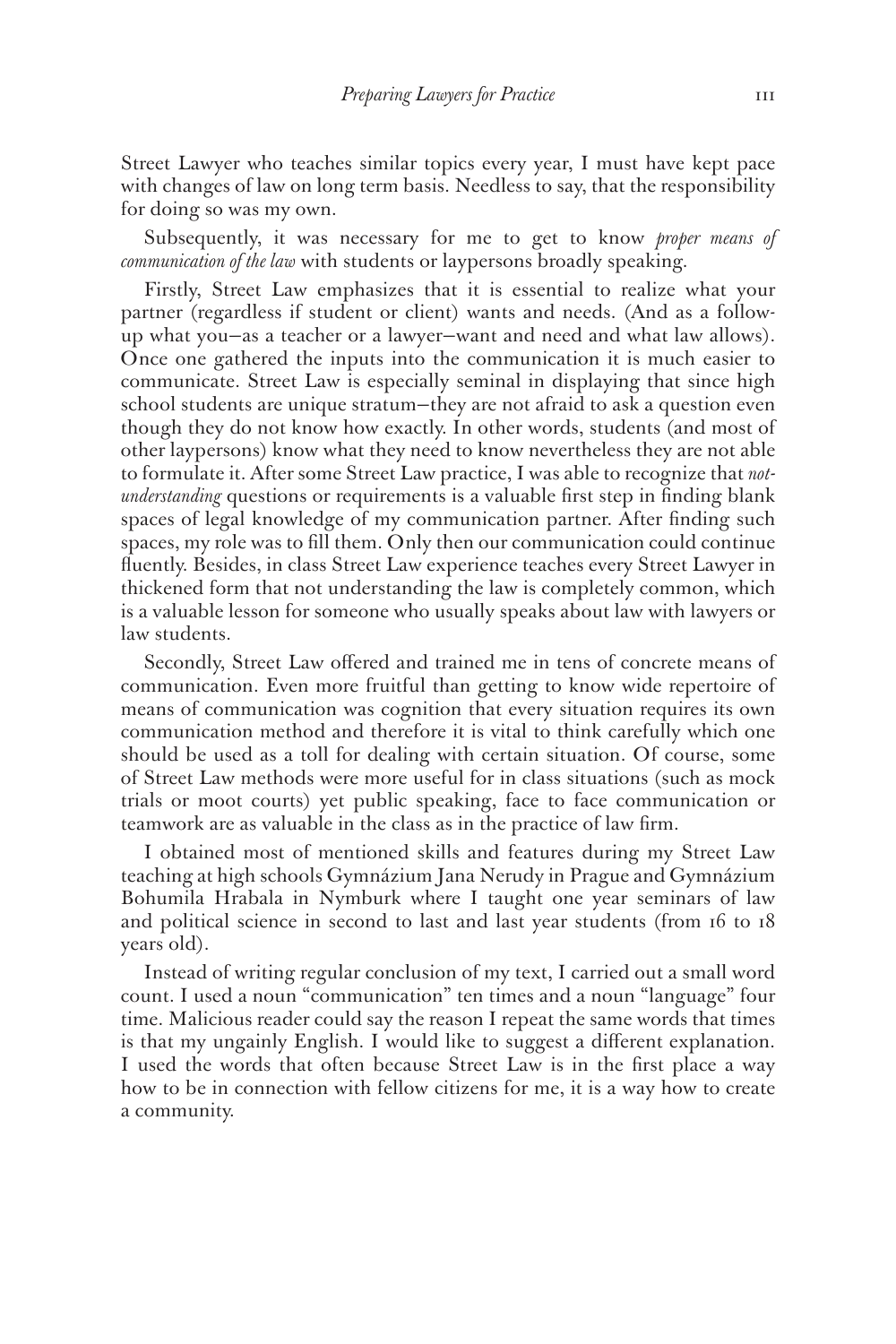Street Lawyer who teaches similar topics every year, I must have kept pace with changes of law on long term basis. Needless to say, that the responsibility for doing so was my own.

Subsequently, it was necessary for me to get to know *proper means of communication of the law* with students or laypersons broadly speaking.

Firstly, Street Law emphasizes that it is essential to realize what your partner (regardless if student or client) wants and needs. (And as a followup what you—as a teacher or a lawyer—want and need and what law allows). Once one gathered the inputs into the communication it is much easier to communicate. Street Law is especially seminal in displaying that since high school students are unique stratum—they are not afraid to ask a question even though they do not know how exactly. In other words, students (and most of other laypersons) know what they need to know nevertheless they are not able to formulate it. After some Street Law practice, I was able to recognize that *notunderstanding* questions or requirements is a valuable first step in finding blank spaces of legal knowledge of my communication partner. After finding such spaces, my role was to fill them. Only then our communication could continue fluently. Besides, in class Street Law experience teaches every Street Lawyer in thickened form that not understanding the law is completely common, which is a valuable lesson for someone who usually speaks about law with lawyers or law students.

Secondly, Street Law offered and trained me in tens of concrete means of communication. Even more fruitful than getting to know wide repertoire of means of communication was cognition that every situation requires its own communication method and therefore it is vital to think carefully which one should be used as a toll for dealing with certain situation. Of course, some of Street Law methods were more useful for in class situations (such as mock trials or moot courts) yet public speaking, face to face communication or teamwork are as valuable in the class as in the practice of law firm.

I obtained most of mentioned skills and features during my Street Law teaching at high schools Gymnázium Jana Nerudy in Prague and Gymnázium Bohumila Hrabala in Nymburk where I taught one year seminars of law and political science in second to last and last year students (from 16 to 18 years old).

Instead of writing regular conclusion of my text, I carried out a small word count. I used a noun "communication" ten times and a noun "language" four time. Malicious reader could say the reason I repeat the same words that times is that my ungainly English. I would like to suggest a different explanation. I used the words that often because Street Law is in the first place a way how to be in connection with fellow citizens for me, it is a way how to create a community.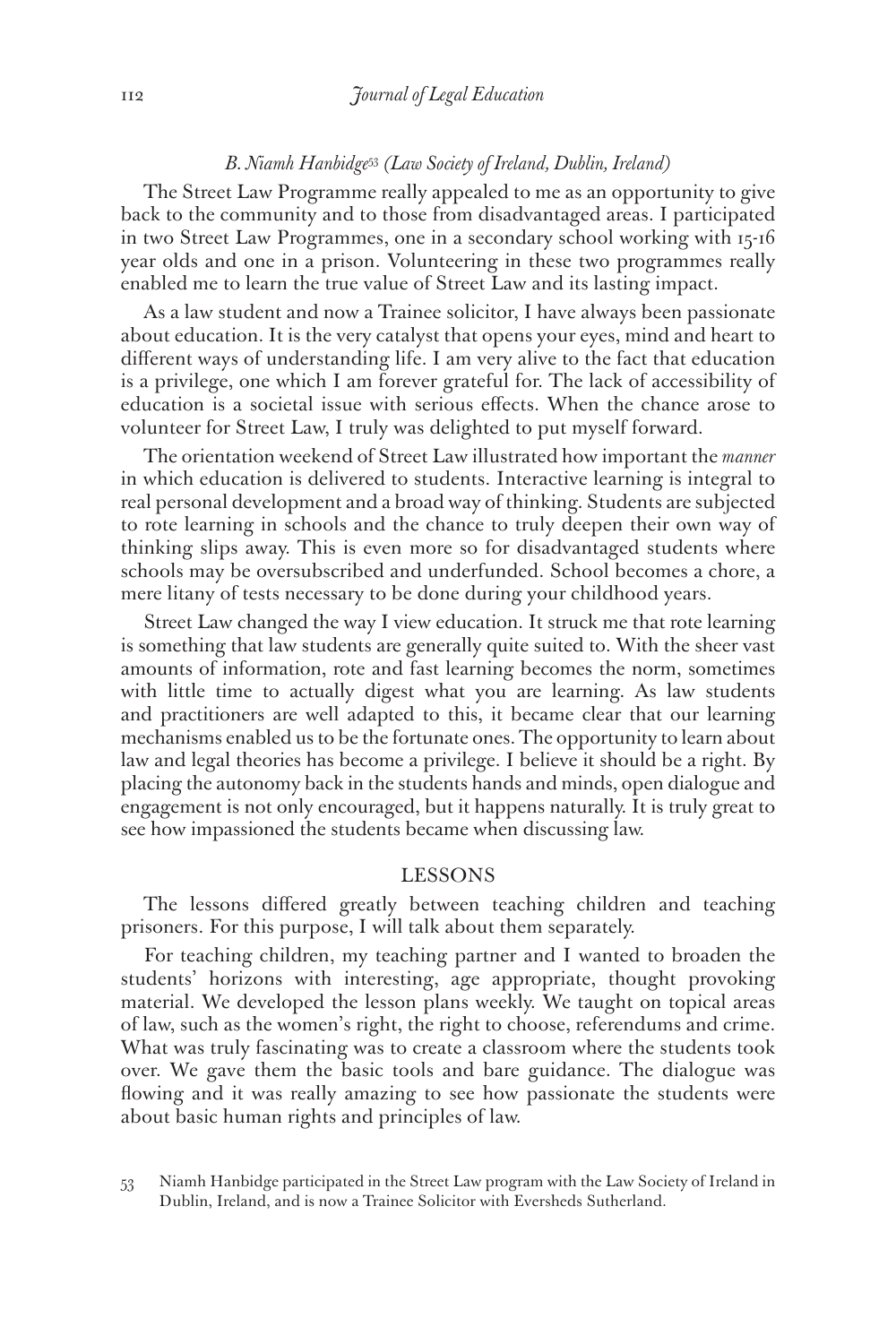#### *B. Niamh Hanbidge*<sup>53</sup> *(Law Society of Ireland, Dublin, Ireland)*

The Street Law Programme really appealed to me as an opportunity to give back to the community and to those from disadvantaged areas. I participated in two Street Law Programmes, one in a secondary school working with 15-16 year olds and one in a prison. Volunteering in these two programmes really enabled me to learn the true value of Street Law and its lasting impact.

As a law student and now a Trainee solicitor, I have always been passionate about education. It is the very catalyst that opens your eyes, mind and heart to different ways of understanding life. I am very alive to the fact that education is a privilege, one which I am forever grateful for. The lack of accessibility of education is a societal issue with serious effects. When the chance arose to volunteer for Street Law, I truly was delighted to put myself forward.

The orientation weekend of Street Law illustrated how important the *manner*  in which education is delivered to students. Interactive learning is integral to real personal development and a broad way of thinking. Students are subjected to rote learning in schools and the chance to truly deepen their own way of thinking slips away. This is even more so for disadvantaged students where schools may be oversubscribed and underfunded. School becomes a chore, a mere litany of tests necessary to be done during your childhood years.

Street Law changed the way I view education. It struck me that rote learning is something that law students are generally quite suited to. With the sheer vast amounts of information, rote and fast learning becomes the norm, sometimes with little time to actually digest what you are learning. As law students and practitioners are well adapted to this, it became clear that our learning mechanisms enabled us to be the fortunate ones. The opportunity to learn about law and legal theories has become a privilege. I believe it should be a right. By placing the autonomy back in the students hands and minds, open dialogue and engagement is not only encouraged, but it happens naturally. It is truly great to see how impassioned the students became when discussing law.

#### LESSONS

The lessons differed greatly between teaching children and teaching prisoners. For this purpose, I will talk about them separately.

For teaching children, my teaching partner and I wanted to broaden the students' horizons with interesting, age appropriate, thought provoking material. We developed the lesson plans weekly. We taught on topical areas of law, such as the women's right, the right to choose, referendums and crime. What was truly fascinating was to create a classroom where the students took over. We gave them the basic tools and bare guidance. The dialogue was flowing and it was really amazing to see how passionate the students were about basic human rights and principles of law.

53 Niamh Hanbidge participated in the Street Law program with the Law Society of Ireland in Dublin, Ireland, and is now a Trainee Solicitor with Eversheds Sutherland.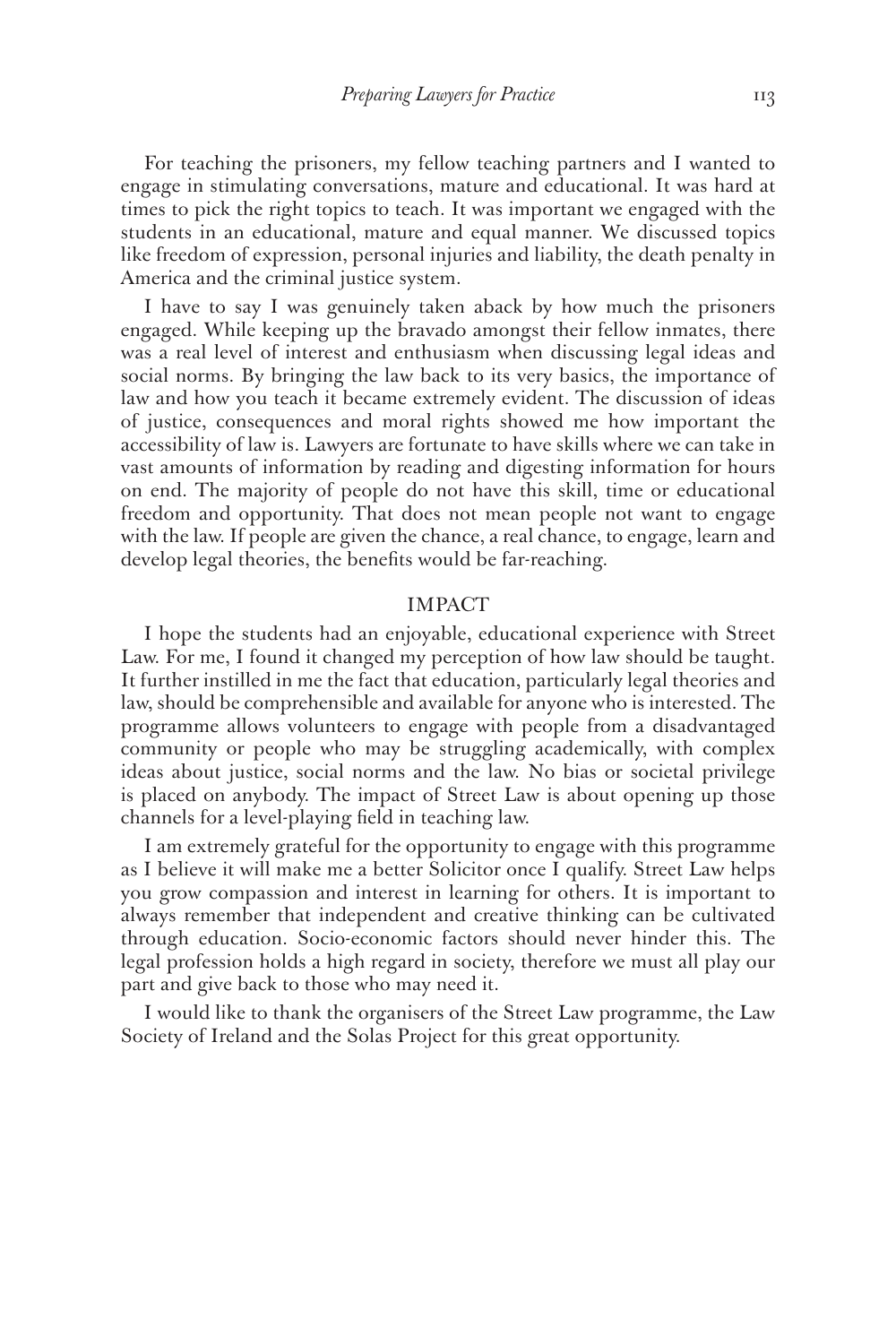For teaching the prisoners, my fellow teaching partners and I wanted to engage in stimulating conversations, mature and educational. It was hard at times to pick the right topics to teach. It was important we engaged with the students in an educational, mature and equal manner. We discussed topics like freedom of expression, personal injuries and liability, the death penalty in America and the criminal justice system.

I have to say I was genuinely taken aback by how much the prisoners engaged. While keeping up the bravado amongst their fellow inmates, there was a real level of interest and enthusiasm when discussing legal ideas and social norms. By bringing the law back to its very basics, the importance of law and how you teach it became extremely evident. The discussion of ideas of justice, consequences and moral rights showed me how important the accessibility of law is. Lawyers are fortunate to have skills where we can take in vast amounts of information by reading and digesting information for hours on end. The majority of people do not have this skill, time or educational freedom and opportunity. That does not mean people not want to engage with the law. If people are given the chance, a real chance, to engage, learn and develop legal theories, the benefits would be far-reaching.

# IMPACT

I hope the students had an enjoyable, educational experience with Street Law. For me, I found it changed my perception of how law should be taught. It further instilled in me the fact that education, particularly legal theories and law, should be comprehensible and available for anyone who is interested. The programme allows volunteers to engage with people from a disadvantaged community or people who may be struggling academically, with complex ideas about justice, social norms and the law. No bias or societal privilege is placed on anybody. The impact of Street Law is about opening up those channels for a level-playing field in teaching law.

I am extremely grateful for the opportunity to engage with this programme as I believe it will make me a better Solicitor once I qualify. Street Law helps you grow compassion and interest in learning for others. It is important to always remember that independent and creative thinking can be cultivated through education. Socio-economic factors should never hinder this. The legal profession holds a high regard in society, therefore we must all play our part and give back to those who may need it.

I would like to thank the organisers of the Street Law programme, the Law Society of Ireland and the Solas Project for this great opportunity.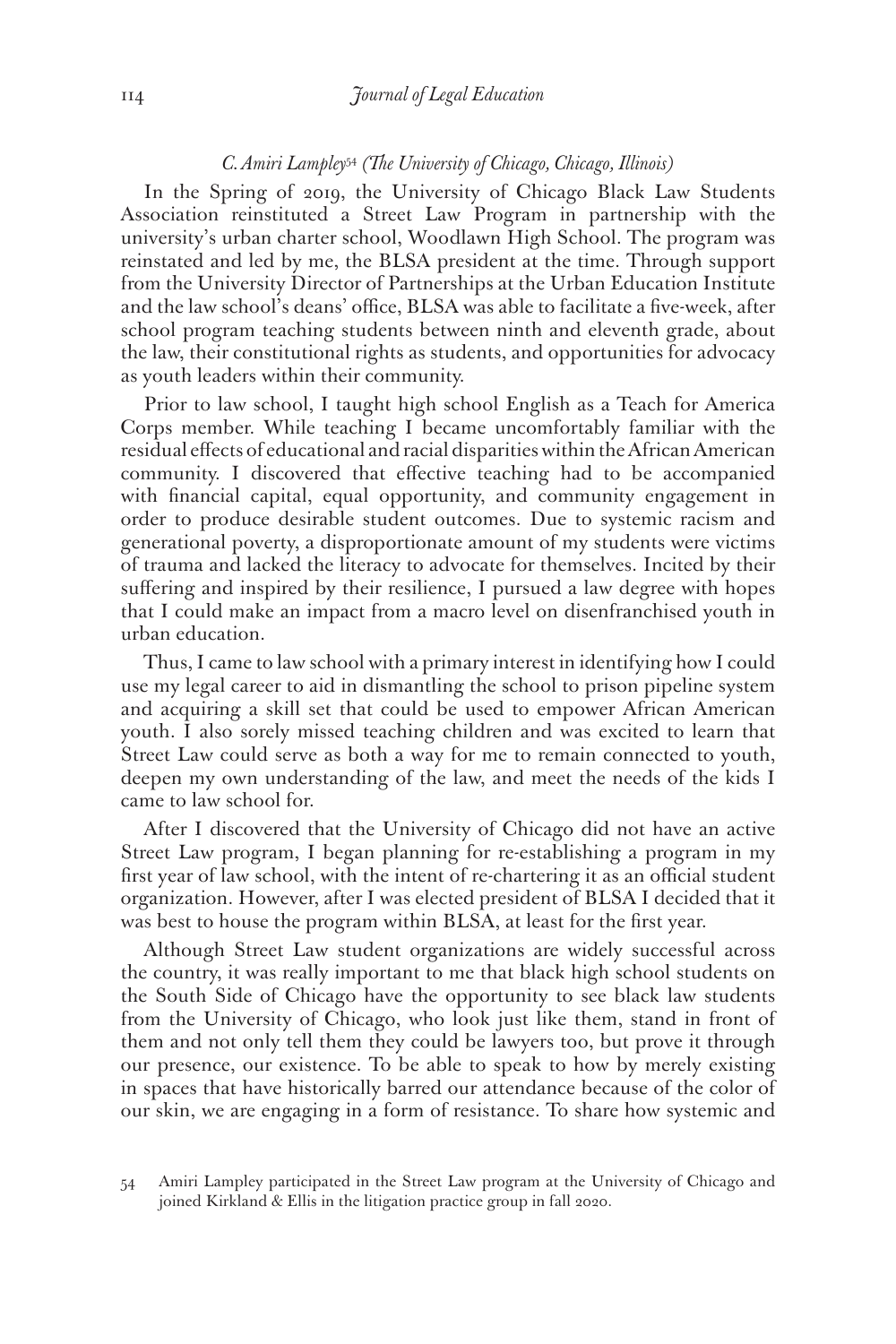#### *C. Amiri Lampley*<sup>54</sup> *(The University of Chicago, Chicago, Illinois)*

In the Spring of 2019, the University of Chicago Black Law Students Association reinstituted a Street Law Program in partnership with the university's urban charter school, Woodlawn High School. The program was reinstated and led by me, the BLSA president at the time. Through support from the University Director of Partnerships at the Urban Education Institute and the law school's deans' office, BLSA was able to facilitate a five-week, after school program teaching students between ninth and eleventh grade, about the law, their constitutional rights as students, and opportunities for advocacy as youth leaders within their community.

Prior to law school, I taught high school English as a Teach for America Corps member. While teaching I became uncomfortably familiar with the residual effects of educational and racial disparities within the African American community. I discovered that effective teaching had to be accompanied with financial capital, equal opportunity, and community engagement in order to produce desirable student outcomes. Due to systemic racism and generational poverty, a disproportionate amount of my students were victims of trauma and lacked the literacy to advocate for themselves. Incited by their suffering and inspired by their resilience, I pursued a law degree with hopes that I could make an impact from a macro level on disenfranchised youth in urban education.

Thus, I came to law school with a primary interest in identifying how I could use my legal career to aid in dismantling the school to prison pipeline system and acquiring a skill set that could be used to empower African American youth. I also sorely missed teaching children and was excited to learn that Street Law could serve as both a way for me to remain connected to youth, deepen my own understanding of the law, and meet the needs of the kids I came to law school for.

After I discovered that the University of Chicago did not have an active Street Law program, I began planning for re-establishing a program in my first year of law school, with the intent of re-chartering it as an official student organization. However, after I was elected president of BLSA I decided that it was best to house the program within BLSA, at least for the first year.

Although Street Law student organizations are widely successful across the country, it was really important to me that black high school students on the South Side of Chicago have the opportunity to see black law students from the University of Chicago, who look just like them, stand in front of them and not only tell them they could be lawyers too, but prove it through our presence, our existence. To be able to speak to how by merely existing in spaces that have historically barred our attendance because of the color of our skin, we are engaging in a form of resistance. To share how systemic and

<sup>54</sup> Amiri Lampley participated in the Street Law program at the University of Chicago and joined Kirkland & Ellis in the litigation practice group in fall 2020.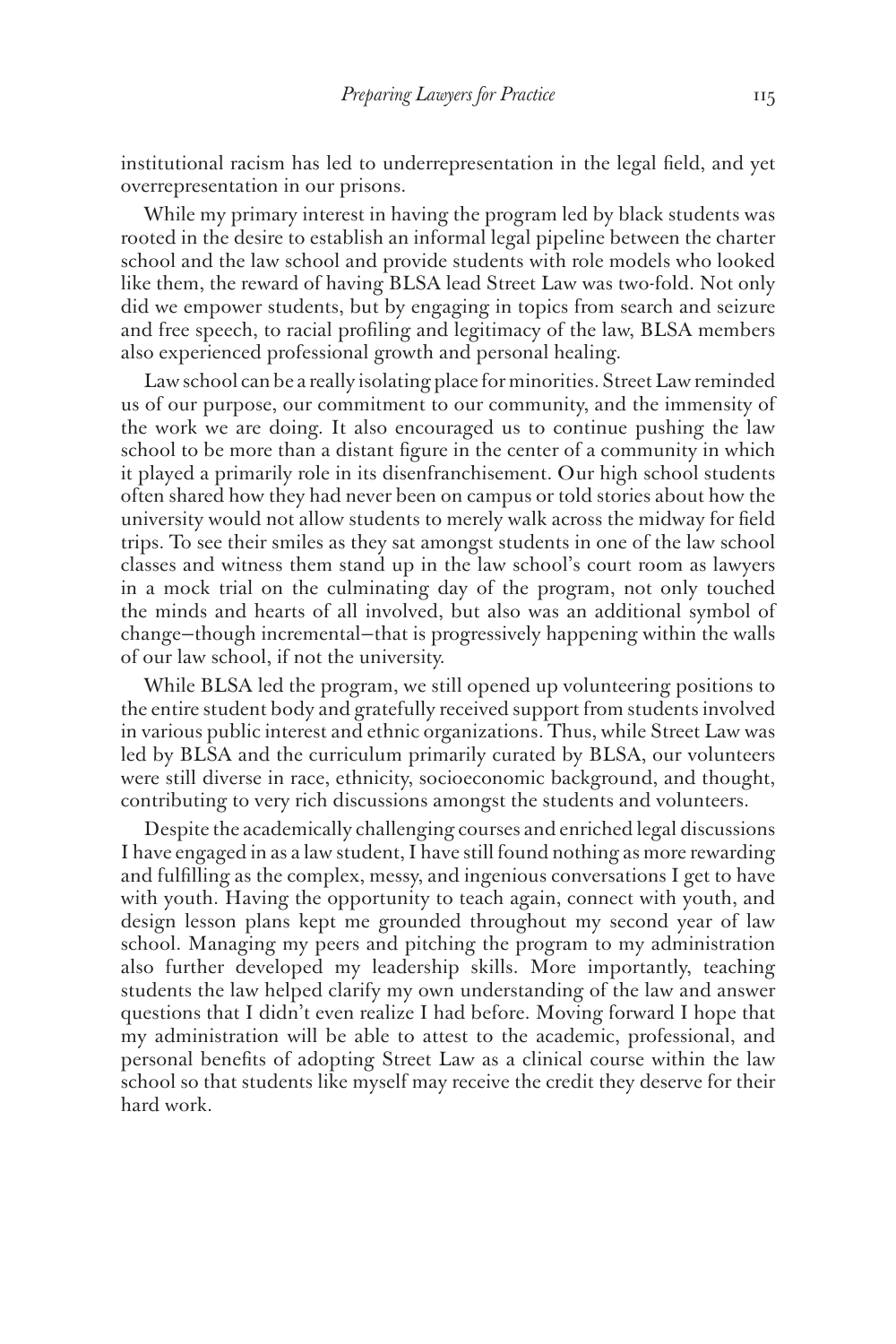institutional racism has led to underrepresentation in the legal field, and yet overrepresentation in our prisons.

While my primary interest in having the program led by black students was rooted in the desire to establish an informal legal pipeline between the charter school and the law school and provide students with role models who looked like them, the reward of having BLSA lead Street Law was two-fold. Not only did we empower students, but by engaging in topics from search and seizure and free speech, to racial profiling and legitimacy of the law, BLSA members also experienced professional growth and personal healing.

Law school can be a really isolating place for minorities. Street Law reminded us of our purpose, our commitment to our community, and the immensity of the work we are doing. It also encouraged us to continue pushing the law school to be more than a distant figure in the center of a community in which it played a primarily role in its disenfranchisement. Our high school students often shared how they had never been on campus or told stories about how the university would not allow students to merely walk across the midway for field trips. To see their smiles as they sat amongst students in one of the law school classes and witness them stand up in the law school's court room as lawyers in a mock trial on the culminating day of the program, not only touched the minds and hearts of all involved, but also was an additional symbol of change—though incremental—that is progressively happening within the walls of our law school, if not the university.

While BLSA led the program, we still opened up volunteering positions to the entire student body and gratefully received support from students involved in various public interest and ethnic organizations. Thus, while Street Law was led by BLSA and the curriculum primarily curated by BLSA, our volunteers were still diverse in race, ethnicity, socioeconomic background, and thought, contributing to very rich discussions amongst the students and volunteers.

Despite the academically challenging courses and enriched legal discussions I have engaged in as a law student, I have still found nothing as more rewarding and fulfilling as the complex, messy, and ingenious conversations I get to have with youth. Having the opportunity to teach again, connect with youth, and design lesson plans kept me grounded throughout my second year of law school. Managing my peers and pitching the program to my administration also further developed my leadership skills. More importantly, teaching students the law helped clarify my own understanding of the law and answer questions that I didn't even realize I had before. Moving forward I hope that my administration will be able to attest to the academic, professional, and personal benefits of adopting Street Law as a clinical course within the law school so that students like myself may receive the credit they deserve for their hard work.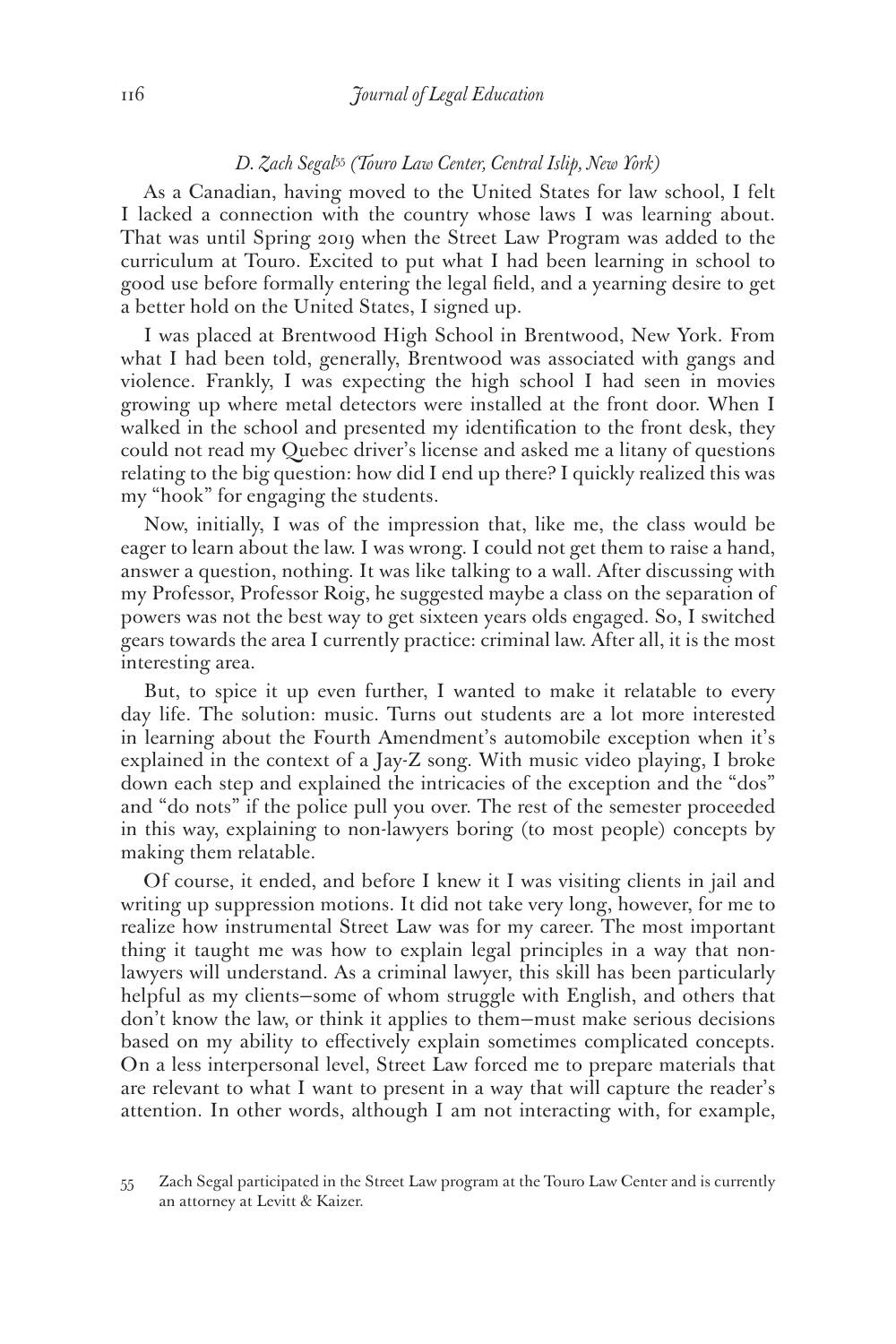#### *D. Zach Segal*<sup>55</sup> *(Touro Law Center, Central Islip, New York)*

As a Canadian, having moved to the United States for law school, I felt I lacked a connection with the country whose laws I was learning about. That was until Spring 2019 when the Street Law Program was added to the curriculum at Touro. Excited to put what I had been learning in school to good use before formally entering the legal field, and a yearning desire to get a better hold on the United States, I signed up.

I was placed at Brentwood High School in Brentwood, New York. From what I had been told, generally, Brentwood was associated with gangs and violence. Frankly, I was expecting the high school I had seen in movies growing up where metal detectors were installed at the front door. When I walked in the school and presented my identification to the front desk, they could not read my Quebec driver's license and asked me a litany of questions relating to the big question: how did I end up there? I quickly realized this was my "hook" for engaging the students.

Now, initially, I was of the impression that, like me, the class would be eager to learn about the law. I was wrong. I could not get them to raise a hand, answer a question, nothing. It was like talking to a wall. After discussing with my Professor, Professor Roig, he suggested maybe a class on the separation of powers was not the best way to get sixteen years olds engaged. So, I switched gears towards the area I currently practice: criminal law. After all, it is the most interesting area.

But, to spice it up even further, I wanted to make it relatable to every day life. The solution: music. Turns out students are a lot more interested in learning about the Fourth Amendment's automobile exception when it's explained in the context of a Jay-Z song. With music video playing, I broke down each step and explained the intricacies of the exception and the "dos" and "do nots" if the police pull you over. The rest of the semester proceeded in this way, explaining to non-lawyers boring (to most people) concepts by making them relatable.

Of course, it ended, and before I knew it I was visiting clients in jail and writing up suppression motions. It did not take very long, however, for me to realize how instrumental Street Law was for my career. The most important thing it taught me was how to explain legal principles in a way that nonlawyers will understand. As a criminal lawyer, this skill has been particularly helpful as my clients—some of whom struggle with English, and others that don't know the law, or think it applies to them—must make serious decisions based on my ability to effectively explain sometimes complicated concepts. On a less interpersonal level, Street Law forced me to prepare materials that are relevant to what I want to present in a way that will capture the reader's attention. In other words, although I am not interacting with, for example,

<sup>55</sup> Zach Segal participated in the Street Law program at the Touro Law Center and is currently an attorney at Levitt & Kaizer.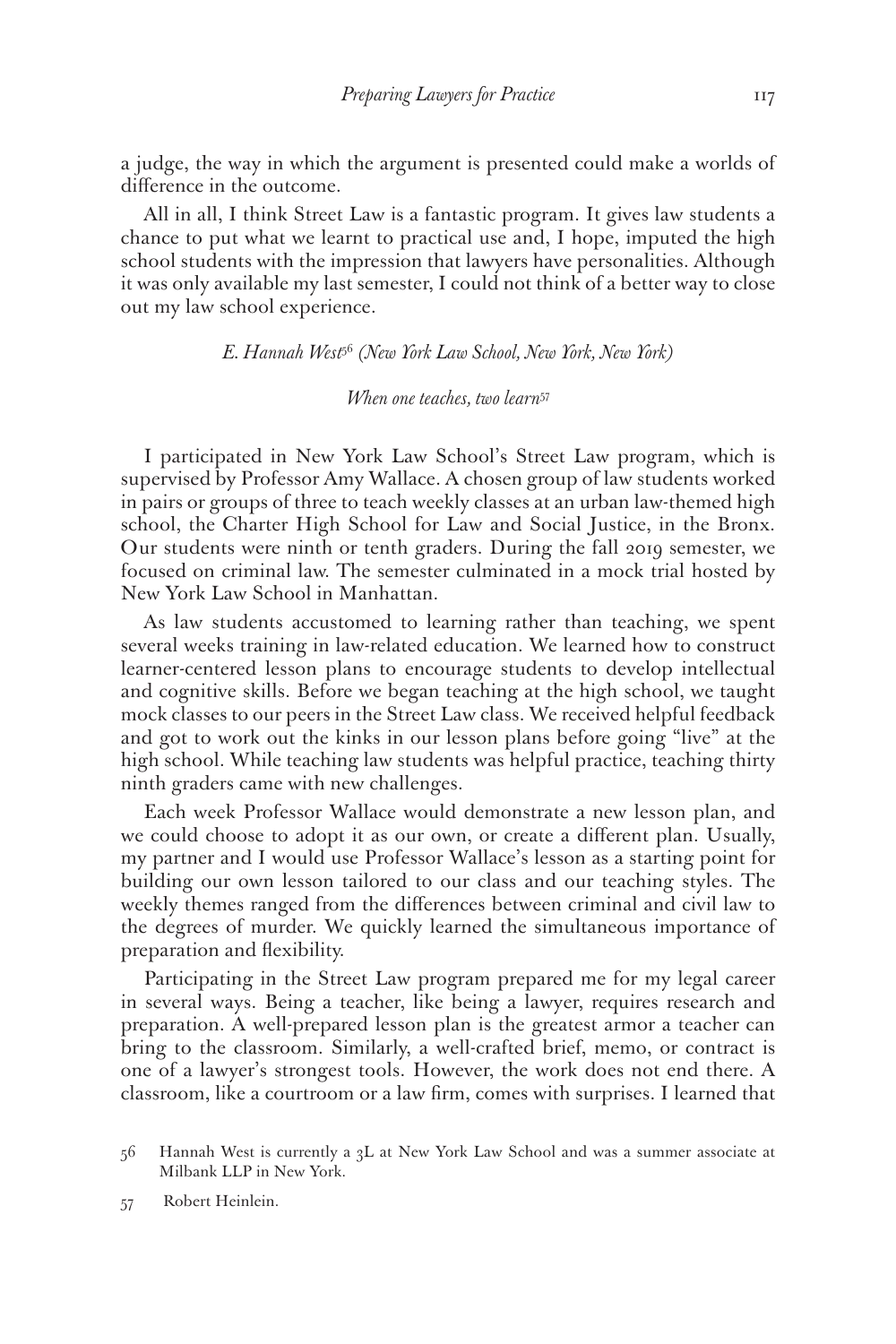a judge, the way in which the argument is presented could make a worlds of difference in the outcome.

All in all, I think Street Law is a fantastic program. It gives law students a chance to put what we learnt to practical use and, I hope, imputed the high school students with the impression that lawyers have personalities. Although it was only available my last semester, I could not think of a better way to close out my law school experience.

*E. Hannah West*<sup>56</sup> *(New York Law School, New York, New York)*

*When one teaches, two learn*<sup>57</sup>

I participated in New York Law School's Street Law program, which is supervised by Professor Amy Wallace. A chosen group of law students worked in pairs or groups of three to teach weekly classes at an urban law-themed high school, the Charter High School for Law and Social Justice, in the Bronx. Our students were ninth or tenth graders. During the fall 2019 semester, we focused on criminal law. The semester culminated in a mock trial hosted by New York Law School in Manhattan.

As law students accustomed to learning rather than teaching, we spent several weeks training in law-related education. We learned how to construct learner-centered lesson plans to encourage students to develop intellectual and cognitive skills. Before we began teaching at the high school, we taught mock classes to our peers in the Street Law class. We received helpful feedback and got to work out the kinks in our lesson plans before going "live" at the high school. While teaching law students was helpful practice, teaching thirty ninth graders came with new challenges.

Each week Professor Wallace would demonstrate a new lesson plan, and we could choose to adopt it as our own, or create a different plan. Usually, my partner and I would use Professor Wallace's lesson as a starting point for building our own lesson tailored to our class and our teaching styles. The weekly themes ranged from the differences between criminal and civil law to the degrees of murder. We quickly learned the simultaneous importance of preparation and flexibility.

Participating in the Street Law program prepared me for my legal career in several ways. Being a teacher, like being a lawyer, requires research and preparation. A well-prepared lesson plan is the greatest armor a teacher can bring to the classroom. Similarly, a well-crafted brief, memo, or contract is one of a lawyer's strongest tools. However, the work does not end there. A classroom, like a courtroom or a law firm, comes with surprises. I learned that

<sup>56</sup> Hannah West is currently a 3L at New York Law School and was a summer associate at Milbank LLP in New York.

<sup>57</sup> Robert Heinlein.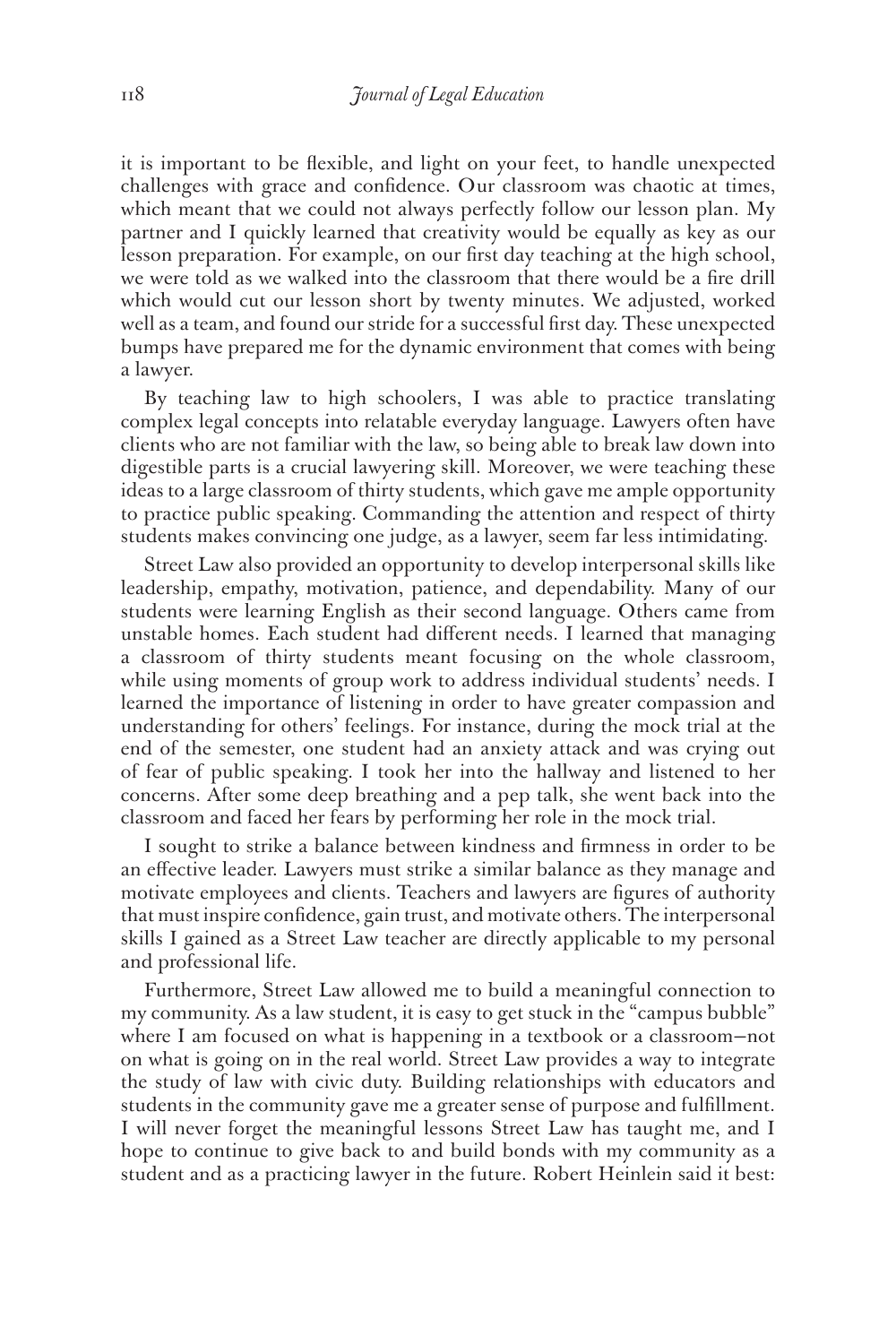it is important to be flexible, and light on your feet, to handle unexpected challenges with grace and confidence. Our classroom was chaotic at times, which meant that we could not always perfectly follow our lesson plan. My partner and I quickly learned that creativity would be equally as key as our lesson preparation. For example, on our first day teaching at the high school, we were told as we walked into the classroom that there would be a fire drill which would cut our lesson short by twenty minutes. We adjusted, worked well as a team, and found our stride for a successful first day. These unexpected bumps have prepared me for the dynamic environment that comes with being a lawyer.

By teaching law to high schoolers, I was able to practice translating complex legal concepts into relatable everyday language. Lawyers often have clients who are not familiar with the law, so being able to break law down into digestible parts is a crucial lawyering skill. Moreover, we were teaching these ideas to a large classroom of thirty students, which gave me ample opportunity to practice public speaking. Commanding the attention and respect of thirty students makes convincing one judge, as a lawyer, seem far less intimidating.

Street Law also provided an opportunity to develop interpersonal skills like leadership, empathy, motivation, patience, and dependability. Many of our students were learning English as their second language. Others came from unstable homes. Each student had different needs. I learned that managing a classroom of thirty students meant focusing on the whole classroom, while using moments of group work to address individual students' needs. I learned the importance of listening in order to have greater compassion and understanding for others' feelings. For instance, during the mock trial at the end of the semester, one student had an anxiety attack and was crying out of fear of public speaking. I took her into the hallway and listened to her concerns. After some deep breathing and a pep talk, she went back into the classroom and faced her fears by performing her role in the mock trial.

I sought to strike a balance between kindness and firmness in order to be an effective leader. Lawyers must strike a similar balance as they manage and motivate employees and clients. Teachers and lawyers are figures of authority that must inspire confidence, gain trust, and motivate others. The interpersonal skills I gained as a Street Law teacher are directly applicable to my personal and professional life.

Furthermore, Street Law allowed me to build a meaningful connection to my community. As a law student, it is easy to get stuck in the "campus bubble" where I am focused on what is happening in a textbook or a classroom-not on what is going on in the real world. Street Law provides a way to integrate the study of law with civic duty. Building relationships with educators and students in the community gave me a greater sense of purpose and fulfillment. I will never forget the meaningful lessons Street Law has taught me, and I hope to continue to give back to and build bonds with my community as a student and as a practicing lawyer in the future. Robert Heinlein said it best: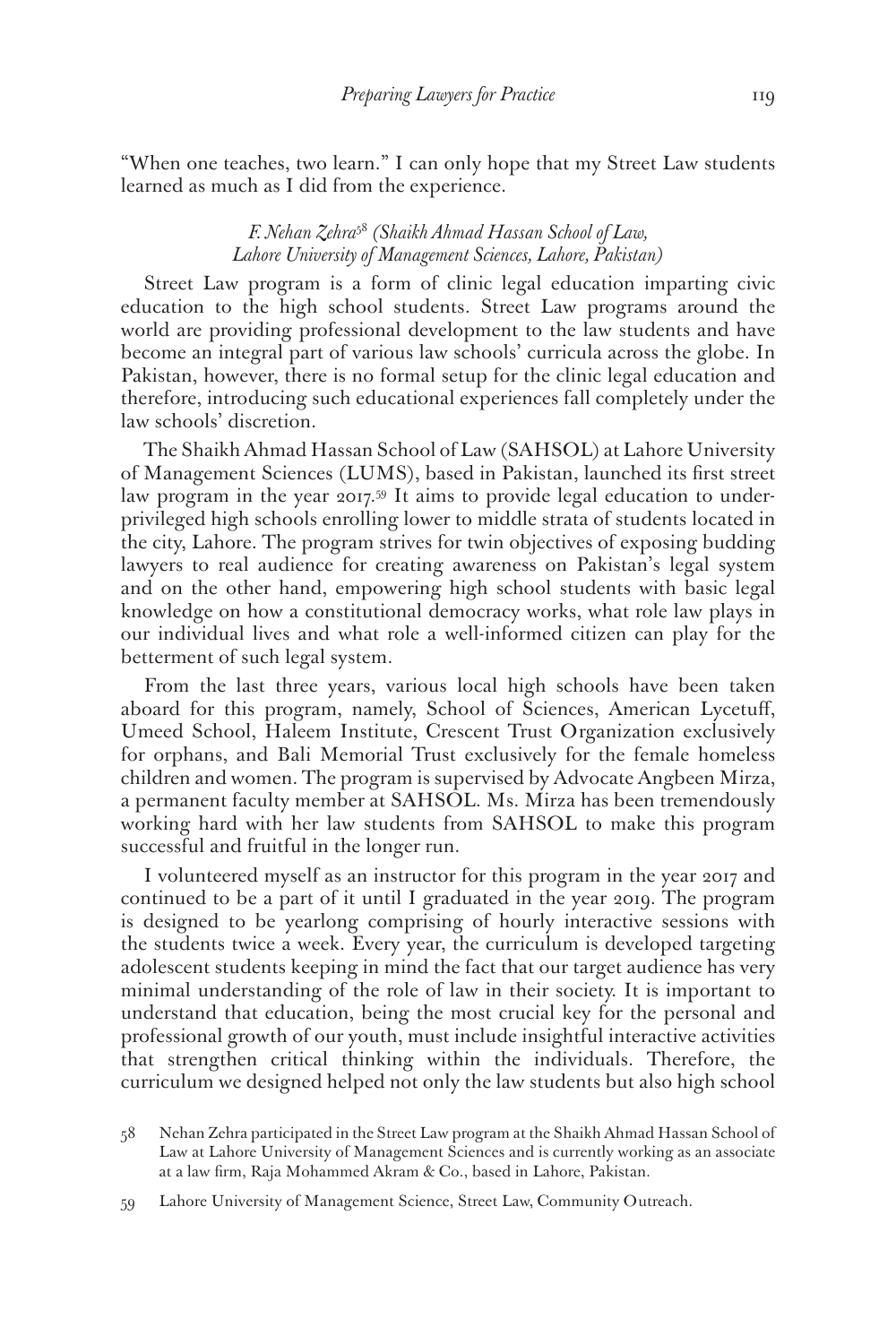"When one teaches, two learn." I can only hope that my Street Law students learned as much as I did from the experience.

## *F. Nehan Zehra*<sup>58</sup> *(Shaikh Ahmad Hassan School of Law, Lahore University of Management Sciences, Lahore, Pakistan)*

Street Law program is a form of clinic legal education imparting civic education to the high school students. Street Law programs around the world are providing professional development to the law students and have become an integral part of various law schools' curricula across the globe. In Pakistan, however, there is no formal setup for the clinic legal education and therefore, introducing such educational experiences fall completely under the law schools' discretion.

The Shaikh Ahmad Hassan School of Law (SAHSOL) at Lahore University of Management Sciences (LUMS), based in Pakistan, launched its first street law program in the year 2017.<sup>59</sup> It aims to provide legal education to underprivileged high schools enrolling lower to middle strata of students located in the city, Lahore. The program strives for twin objectives of exposing budding lawyers to real audience for creating awareness on Pakistan's legal system and on the other hand, empowering high school students with basic legal knowledge on how a constitutional democracy works, what role law plays in our individual lives and what role a well-informed citizen can play for the betterment of such legal system.

From the last three years, various local high schools have been taken aboard for this program, namely, School of Sciences, American Lycetuff, Umeed School, Haleem Institute, Crescent Trust Organization exclusively for orphans, and Bali Memorial Trust exclusively for the female homeless children and women. The program is supervised by Advocate Angbeen Mirza, a permanent faculty member at SAHSOL. Ms. Mirza has been tremendously working hard with her law students from SAHSOL to make this program successful and fruitful in the longer run.

I volunteered myself as an instructor for this program in the year 2017 and continued to be a part of it until I graduated in the year 2019. The program is designed to be yearlong comprising of hourly interactive sessions with the students twice a week. Every year, the curriculum is developed targeting adolescent students keeping in mind the fact that our target audience has very minimal understanding of the role of law in their society. It is important to understand that education, being the most crucial key for the personal and professional growth of our youth, must include insightful interactive activities that strengthen critical thinking within the individuals. Therefore, the curriculum we designed helped not only the law students but also high school

<sup>58</sup> Nehan Zehra participated in the Street Law program at the Shaikh Ahmad Hassan School of Law at Lahore University of Management Sciences and is currently working as an associate at a law firm, Raja Mohammed Akram & Co., based in Lahore, Pakistan.

<sup>59</sup> Lahore University of Management Science, Street Law, Community Outreach.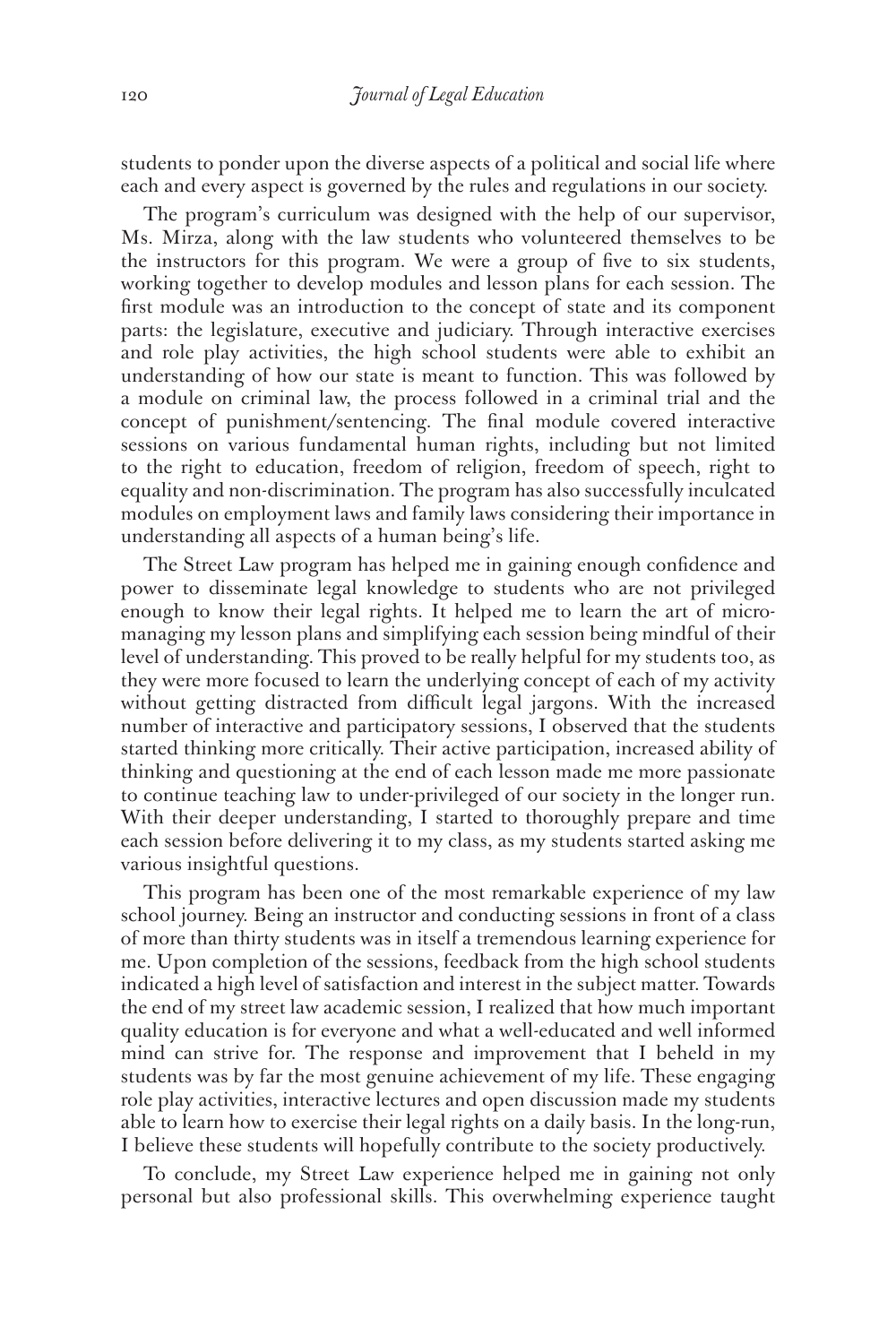students to ponder upon the diverse aspects of a political and social life where each and every aspect is governed by the rules and regulations in our society.

The program's curriculum was designed with the help of our supervisor, Ms. Mirza, along with the law students who volunteered themselves to be the instructors for this program. We were a group of five to six students, working together to develop modules and lesson plans for each session. The first module was an introduction to the concept of state and its component parts: the legislature, executive and judiciary. Through interactive exercises and role play activities, the high school students were able to exhibit an understanding of how our state is meant to function. This was followed by a module on criminal law, the process followed in a criminal trial and the concept of punishment/sentencing. The final module covered interactive sessions on various fundamental human rights, including but not limited to the right to education, freedom of religion, freedom of speech, right to equality and non-discrimination. The program has also successfully inculcated modules on employment laws and family laws considering their importance in understanding all aspects of a human being's life.

The Street Law program has helped me in gaining enough confidence and power to disseminate legal knowledge to students who are not privileged enough to know their legal rights. It helped me to learn the art of micromanaging my lesson plans and simplifying each session being mindful of their level of understanding. This proved to be really helpful for my students too, as they were more focused to learn the underlying concept of each of my activity without getting distracted from difficult legal jargons. With the increased number of interactive and participatory sessions, I observed that the students started thinking more critically. Their active participation, increased ability of thinking and questioning at the end of each lesson made me more passionate to continue teaching law to under-privileged of our society in the longer run. With their deeper understanding, I started to thoroughly prepare and time each session before delivering it to my class, as my students started asking me various insightful questions.

This program has been one of the most remarkable experience of my law school journey. Being an instructor and conducting sessions in front of a class of more than thirty students was in itself a tremendous learning experience for me. Upon completion of the sessions, feedback from the high school students indicated a high level of satisfaction and interest in the subject matter. Towards the end of my street law academic session, I realized that how much important quality education is for everyone and what a well-educated and well informed mind can strive for. The response and improvement that I beheld in my students was by far the most genuine achievement of my life. These engaging role play activities, interactive lectures and open discussion made my students able to learn how to exercise their legal rights on a daily basis. In the long-run, I believe these students will hopefully contribute to the society productively.

To conclude, my Street Law experience helped me in gaining not only personal but also professional skills. This overwhelming experience taught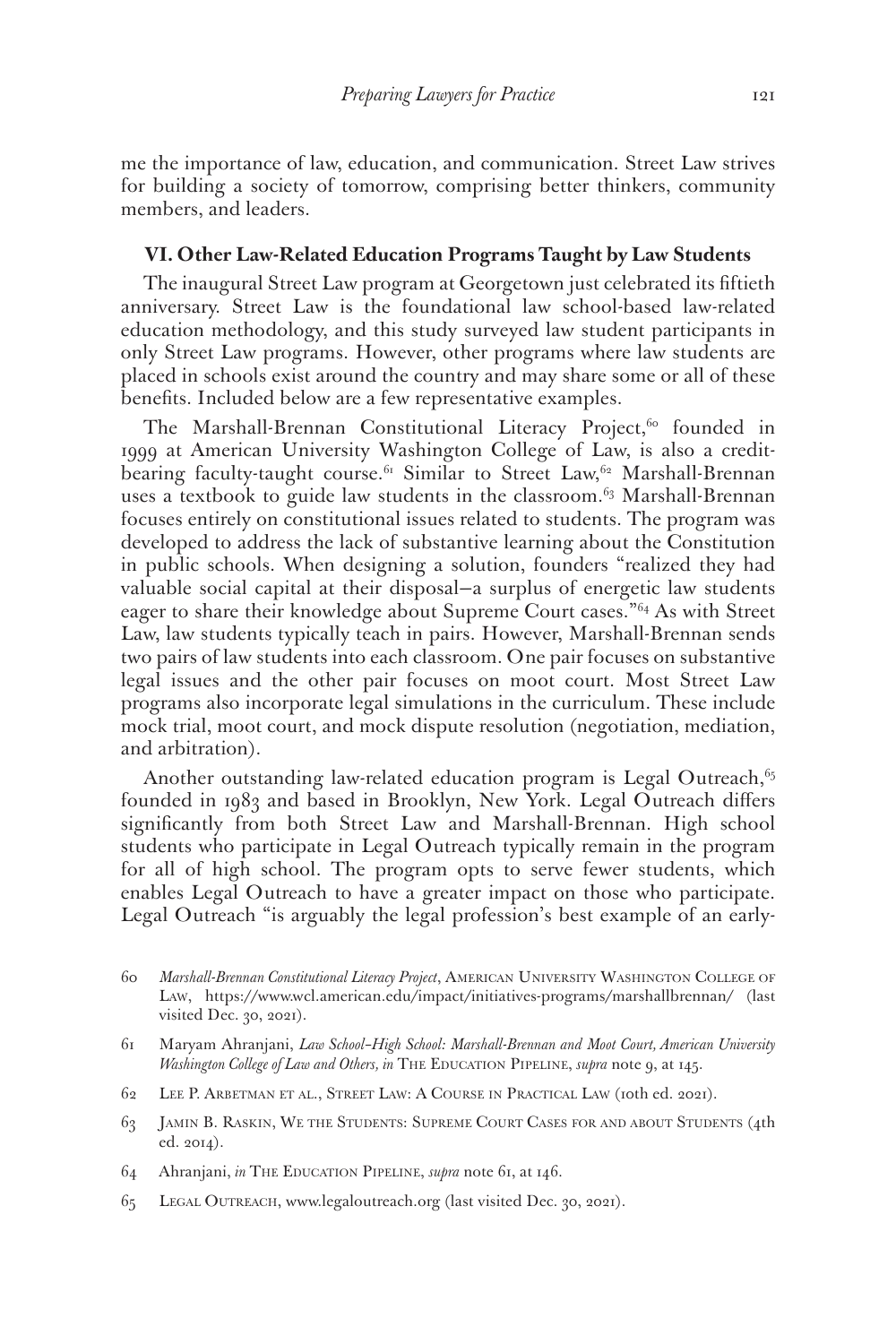me the importance of law, education, and communication. Street Law strives for building a society of tomorrow, comprising better thinkers, community members, and leaders.

#### **VI. Other Law-Related Education Programs Taught by Law Students**

The inaugural Street Law program at Georgetown just celebrated its fiftieth anniversary. Street Law is the foundational law school-based law-related education methodology, and this study surveyed law student participants in only Street Law programs. However, other programs where law students are placed in schools exist around the country and may share some or all of these benefits. Included below are a few representative examples.

The Marshall-Brennan Constitutional Literacy Project,<sup>60</sup> founded in 1999 at American University Washington College of Law, is also a creditbearing faculty-taught course.<sup>61</sup> Similar to Street Law,<sup>62</sup> Marshall-Brennan uses a textbook to guide law students in the classroom.<sup>63</sup> Marshall-Brennan focuses entirely on constitutional issues related to students. The program was developed to address the lack of substantive learning about the Constitution in public schools. When designing a solution, founders "realized they had valuable social capital at their disposal—a surplus of energetic law students eager to share their knowledge about Supreme Court cases."<sup>64</sup> As with Street Law, law students typically teach in pairs. However, Marshall-Brennan sends two pairs of law students into each classroom. One pair focuses on substantive legal issues and the other pair focuses on moot court. Most Street Law programs also incorporate legal simulations in the curriculum. These include mock trial, moot court, and mock dispute resolution (negotiation, mediation, and arbitration).

Another outstanding law-related education program is Legal Outreach, $65$ founded in 1983 and based in Brooklyn, New York. Legal Outreach differs significantly from both Street Law and Marshall-Brennan. High school students who participate in Legal Outreach typically remain in the program for all of high school. The program opts to serve fewer students, which enables Legal Outreach to have a greater impact on those who participate. Legal Outreach "is arguably the legal profession's best example of an early-

- 62 Lee P. Arbetman et al., Street Law: A Course in Practical Law (10th ed. 2021).
- 63 Jamin B. Raskin, We the Students: Supreme Court Cases for and about Students (4th ed. 2014).
- 64 Ahranjani, *in* The Education Pipeline, *supra* note 61, at 146.
- 65 Legal Outreach, www.legaloutreach.org (last visited Dec. 30, 2021).

<sup>60</sup> *Marshall-Brennan Constitutional Literacy Project*, American University Washington College of Law, https://www.wcl.american.edu/impact/initiatives-programs/marshallbrennan/ (last visited Dec. 30, 2021).

<sup>61</sup> Maryam Ahranjani, *Law School–High School: Marshall-Brennan and Moot Court, American University Washington College of Law and Others, in* THE EDUCATION PIPELINE, *supra* note 9, at 145.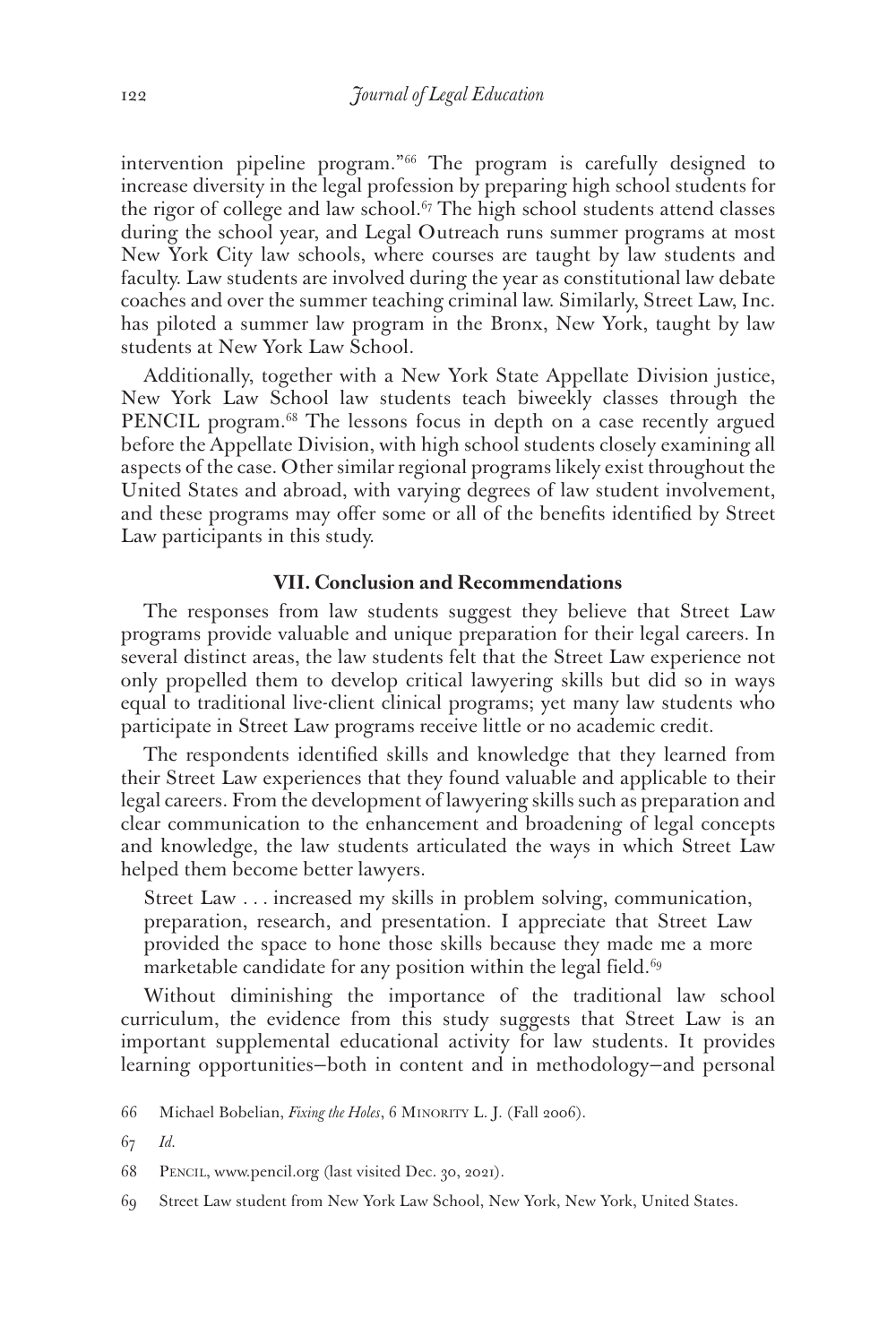intervention pipeline program."66 The program is carefully designed to increase diversity in the legal profession by preparing high school students for the rigor of college and law school.<sup> $67$ </sup> The high school students attend classes during the school year, and Legal Outreach runs summer programs at most New York City law schools, where courses are taught by law students and faculty. Law students are involved during the year as constitutional law debate coaches and over the summer teaching criminal law. Similarly, Street Law, Inc. has piloted a summer law program in the Bronx, New York, taught by law students at New York Law School.

Additionally, together with a New York State Appellate Division justice, New York Law School law students teach biweekly classes through the PENCIL program.<sup>68</sup> The lessons focus in depth on a case recently argued before the Appellate Division, with high school students closely examining all aspects of the case. Other similar regional programs likely exist throughout the United States and abroad, with varying degrees of law student involvement, and these programs may offer some or all of the benefits identified by Street Law participants in this study.

#### **VII. Conclusion and Recommendations**

The responses from law students suggest they believe that Street Law programs provide valuable and unique preparation for their legal careers. In several distinct areas, the law students felt that the Street Law experience not only propelled them to develop critical lawyering skills but did so in ways equal to traditional live-client clinical programs; yet many law students who participate in Street Law programs receive little or no academic credit.

The respondents identified skills and knowledge that they learned from their Street Law experiences that they found valuable and applicable to their legal careers. From the development of lawyering skills such as preparation and clear communication to the enhancement and broadening of legal concepts and knowledge, the law students articulated the ways in which Street Law helped them become better lawyers.

Street Law . . *.* increased my skills in problem solving, communication, preparation, research, and presentation. I appreciate that Street Law provided the space to hone those skills because they made me a more marketable candidate for any position within the legal field.<sup>69</sup>

Without diminishing the importance of the traditional law school curriculum, the evidence from this study suggests that Street Law is an important supplemental educational activity for law students. It provides learning opportunities—both in content and in methodology—and personal

67 *Id.*

68 Pencil, www.pencil.org (last visited Dec. 30, 2021).

69 Street Law student from New York Law School, New York, New York, United States.

<sup>66</sup> Michael Bobelian, *Fixing the Holes*, 6 Minority L. J. (Fall 2006).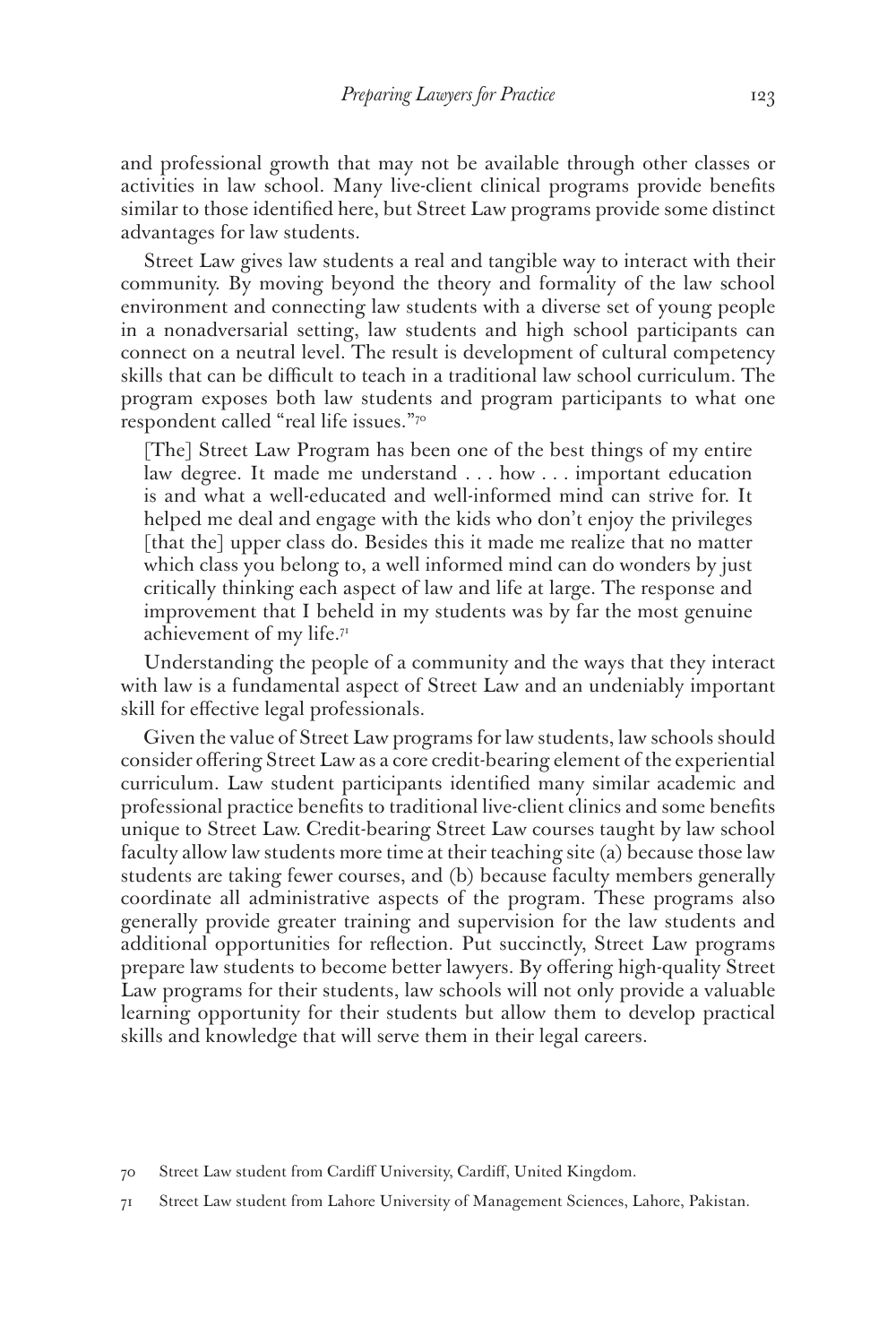and professional growth that may not be available through other classes or activities in law school. Many live-client clinical programs provide benefits similar to those identified here, but Street Law programs provide some distinct advantages for law students.

Street Law gives law students a real and tangible way to interact with their community. By moving beyond the theory and formality of the law school environment and connecting law students with a diverse set of young people in a nonadversarial setting, law students and high school participants can connect on a neutral level. The result is development of cultural competency skills that can be difficult to teach in a traditional law school curriculum. The program exposes both law students and program participants to what one respondent called "real life issues."70

[The] Street Law Program has been one of the best things of my entire law degree. It made me understand . *. .* how *. . .* important education is and what a well-educated and well-informed mind can strive for. It helped me deal and engage with the kids who don't enjoy the privileges [that the] upper class do. Besides this it made me realize that no matter which class you belong to, a well informed mind can do wonders by just critically thinking each aspect of law and life at large. The response and improvement that I beheld in my students was by far the most genuine achievement of my life.<sup>71</sup>

Understanding the people of a community and the ways that they interact with law is a fundamental aspect of Street Law and an undeniably important skill for effective legal professionals.

Given the value of Street Law programs for law students, law schools should consider offering Street Law as a core credit-bearing element of the experiential curriculum. Law student participants identified many similar academic and professional practice benefits to traditional live-client clinics and some benefits unique to Street Law. Credit-bearing Street Law courses taught by law school faculty allow law students more time at their teaching site (a) because those law students are taking fewer courses, and (b) because faculty members generally coordinate all administrative aspects of the program. These programs also generally provide greater training and supervision for the law students and additional opportunities for reflection. Put succinctly, Street Law programs prepare law students to become better lawyers. By offering high-quality Street Law programs for their students, law schools will not only provide a valuable learning opportunity for their students but allow them to develop practical skills and knowledge that will serve them in their legal careers.

<sup>70</sup> Street Law student from Cardiff University, Cardiff, United Kingdom.

<sup>71</sup> Street Law student from Lahore University of Management Sciences, Lahore, Pakistan.